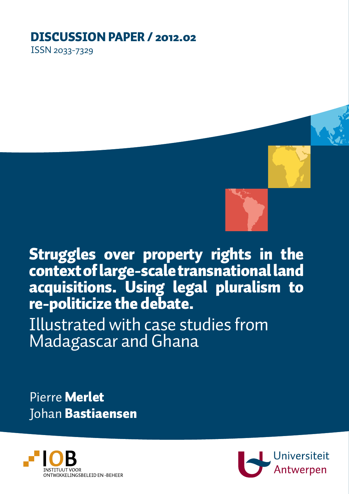# DISCUSSION PAPER / 2012.02

ISSN 2033-7329



Struggles over property rights in the context of large-scale transnational land acquisitions. Using legal pluralism to re-politicize the debate.

Illustrated with case studies from Madagascar and Ghana

Pierre Merlet Johan Bastiaensen



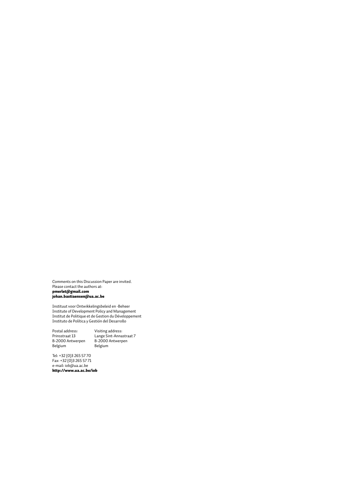Comments on this Discussion Paper are invited. Please contact the authors at: pmerlet@gmail.com johan.bastiaensen@ua.ac.be

Instituut voor Ontwikkelingsbeleid en -Beheer Institute of Development Policy and Management Institut de Politique et de Gestion du Développement Instituto de Política y Gestión del Desarrollo

Postal address: Visiting address: B-2000 Antwerpen B-2000 Antwerpen Belgium Belgium

Prinsstraat 13 Lange Sint-Annastraat 7

Tel: +32 (0)3 265 57 70 Fax: +32 (0)3 265 57 71 e-mail: iob@ua.ac.be http://www.ua.ac.be/iob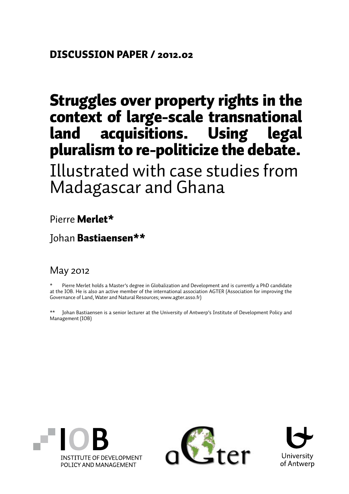# Struggles over property rights in the context of large-scale transnational land acquisitions. Using legal pluralism to re-politicize the debate.

Illustrated with case studies from Madagascar and Ghana

Pierre Merlet\*

Johan Bastiaensen\*\*

### May 2012

Pierre Merlet holds a Master's degree in Globalization and Development and is currently a PhD candidate at the IOB. He is also an active member of the international association AGTER (Association for improving the Governance of Land, Water and Natural Resources; www.agter.asso.fr)

\*\* Johan Bastiaensen is a senior lecturer at the University of Antwerp's Institute of Development Policy and Management (IOB)





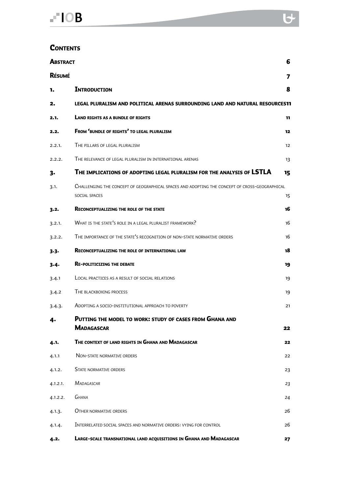#### **CONTENTS**

| 6<br><b>ABSTRACT</b> |                                                                                                                      |    |  |
|----------------------|----------------------------------------------------------------------------------------------------------------------|----|--|
| <b>RÉSUMÉ</b>        |                                                                                                                      | 7  |  |
| 1.                   | <b>INTRODUCTION</b>                                                                                                  | 8  |  |
| 2.                   | LEGAL PLURALISM AND POLITICAL ARENAS SURROUNDING LAND AND NATURAL RESOURCES11                                        |    |  |
| 2.1.                 | <b>LAND RIGHTS AS A BUNDLE OF RIGHTS</b>                                                                             | 11 |  |
| 2.2.                 | FROM 'BUNDLE OF RIGHTS' TO LEGAL PLURALISM                                                                           | 12 |  |
| 2.2.1.               | THE PILLARS OF LEGAL PLURALISM                                                                                       | 12 |  |
| 2.2.2.               | THE RELEVANCE OF LEGAL PLURALISM IN INTERNATIONAL ARENAS                                                             |    |  |
| 3.                   | THE IMPLICATIONS OF ADOPTING LEGAL PLURALISM FOR THE ANALYSIS OF LSTLA                                               |    |  |
| 3.1.                 | CHALLENGING THE CONCEPT OF GEOGRAPHICAL SPACES AND ADOPTING THE CONCEPT OF CROSS-GEOGRAPHICAL<br>SOCIAL SPACES<br>15 |    |  |
| $3 - 2$              | <b>RECONCEPTUALIZING THE ROLE OF THE STATE</b>                                                                       | 16 |  |
| 3.2.1.               | WHAT IS THE STATE'S ROLE IN A LEGAL PLURALIST FRAMEWORK?                                                             | 16 |  |
| 3.2.2.               | THE IMPORTANCE OF THE STATE'S RECOGNITION OF NON-STATE NORMATIVE ORDERS                                              | 16 |  |
| $3 - 3 -$            | <b>RECONCEPTUALIZING THE ROLE OF INTERNATIONAL LAW</b>                                                               | 18 |  |
| 3-4-                 | <b>RE-POLITICIZING THE DEBATE</b>                                                                                    | 19 |  |
| 3.4.1                | LOCAL PRACTICES AS A RESULT OF SOCIAL RELATIONS                                                                      | 19 |  |
| 3.4.2                | THE BLACKBOXING PROCESS                                                                                              | 19 |  |
| 3.4.3.               | ADOPTING A SOCIO-INSTITUTIONAL APPROACH TO POVERTY                                                                   | 21 |  |
| 4-                   | PUTTING THE MODEL TO WORK: STUDY OF CASES FROM GHANA AND                                                             |    |  |
|                      | <b>MADAGASCAR</b>                                                                                                    | 22 |  |
| 4.1.                 | THE CONTEXT OF LAND RIGHTS IN GHANA AND MADAGASCAR                                                                   | 22 |  |
| 4.1.1                | NON-STATE NORMATIVE ORDERS                                                                                           | 22 |  |
| 4.1.2.               | <b>STATE NORMATIVE ORDERS</b>                                                                                        | 23 |  |
| 4.1.2.1.             | <b>MADAGASCAR</b>                                                                                                    | 23 |  |
| 4.1.2.2.             | <b>GHANA</b>                                                                                                         | 24 |  |
| 4.1.3.               | OTHER NORMATIVE ORDERS                                                                                               | 26 |  |
| 4.1.4.               | INTERRELATED SOCIAL SPACES AND NORMATIVE ORDERS: VYING FOR CONTROL                                                   | 26 |  |
| 4.2.                 | <b>LARGE-SCALE TRANSNATIONAL LAND ACQUISITIONS IN GHANA AND MADAGASCAR</b>                                           | 27 |  |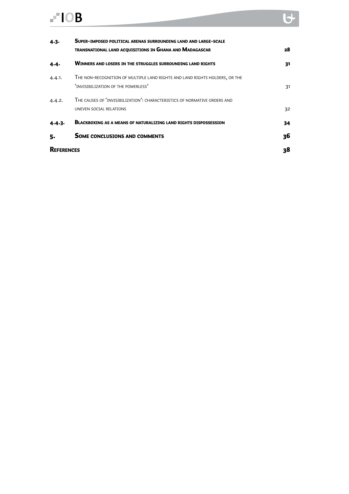# $-10B$

| $4 - 3 -$ | SUPER-IMPOSED POLITICAL ARENAS SURROUNDING LAND AND LARGE-SCALE                                                    |    |  |
|-----------|--------------------------------------------------------------------------------------------------------------------|----|--|
|           | <b>TRANSNATIONAL LAND ACQUISITIONS IN GHANA AND MADAGASCAR</b>                                                     | 28 |  |
| 4.4.      | <b>WINNERS AND LOSERS IN THE STRUGGLES SURROUNDING LAND RIGHTS</b>                                                 | 31 |  |
| 4.4.1.    | THE NON-RECOGNITION OF MULTIPLE LAND RIGHTS AND LAND RIGHTS HOLDERS, OR THE<br>'INVISIBILIZATION OF THE POWERLESS' | 31 |  |
| 4.4.2.    | THE CAUSES OF 'INVISIBILIZATION': CHARACTERISTICS OF NORMATIVE ORDERS AND<br>UNEVEN SOCIAL RELATIONS               | 32 |  |
| 4.4.3.    | <b>BLACKBOXING AS A MEANS OF NATURALIZING LAND RIGHTS DISPOSSESSION</b>                                            | 34 |  |
| 5.        | <b>SOME CONCLUSIONS AND COMMENTS</b>                                                                               | 36 |  |
|           |                                                                                                                    | 38 |  |

 $\overline{\mathbf{v}}$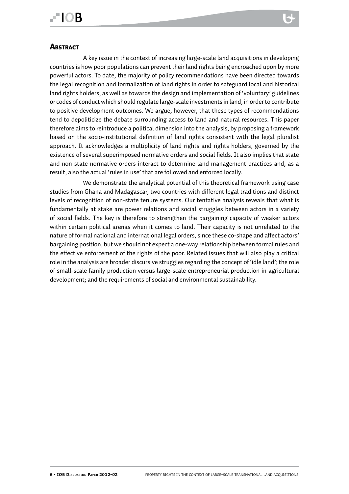# **FIOR**

#### **ABSTRACT**

A key issue in the context of increasing large-scale land acquisitions in developing countries is how poor populations can prevent their land rights being encroached upon by more powerful actors. To date, the majority of policy recommendations have been directed towards the legal recognition and formalization of land rights in order to safeguard local and historical land rights holders, as well as towards the design and implementation of 'voluntary' guidelines or codes of conduct which should regulate large-scale investments in land, in order to contribute to positive development outcomes. We argue, however, that these types of recommendations tend to depoliticize the debate surrounding access to land and natural resources. This paper therefore aims to reintroduce a political dimension into the analysis, by proposing a framework based on the socio-institutional definition of land rights consistent with the legal pluralist approach. It acknowledges a multiplicity of land rights and rights holders, governed by the existence of several superimposed normative orders and social fields. It also implies that state and non-state normative orders interact to determine land management practices and, as a result, also the actual 'rules in use' that are followed and enforced locally.

We demonstrate the analytical potential of this theoretical framework using case studies from Ghana and Madagascar, two countries with different legal traditions and distinct levels of recognition of non-state tenure systems. Our tentative analysis reveals that what is fundamentally at stake are power relations and social struggles between actors in a variety of social fields. The key is therefore to strengthen the bargaining capacity of weaker actors within certain political arenas when it comes to land. Their capacity is not unrelated to the nature of formal national and international legal orders, since these co-shape and affect actors' bargaining position, but we should not expect a one-way relationship between formal rules and the effective enforcement of the rights of the poor. Related issues that will also play a critical role in the analysis are broader discursive struggles regarding the concept of 'idle land'; the role of small-scale family production versus large-scale entrepreneurial production in agricultural development; and the requirements of social and environmental sustainability.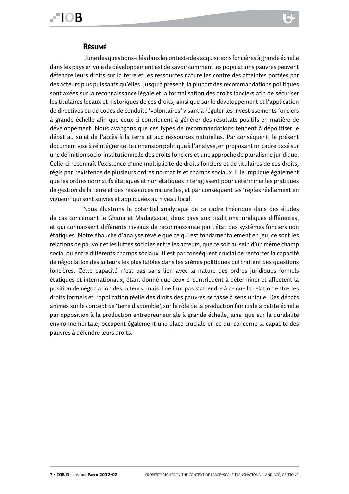# EIOB

#### Résumé

L'une des questions-clés dans le contexte des acquisitions foncières à grande échelle dans les pays en voie de développement est de savoir comment les populations pauvres peuvent défendre leurs droits sur la terre et les ressources naturelles contre des atteintes portées par des acteurs plus puissants qu'elles. Jusqu'à présent, la plupart des recommandations politiques sont axées sur la reconnaissance légale et la formalisation des droits fonciers afin de sécuriser les titulaires locaux et historiques de ces droits, ainsi que sur le développement et l'application de directives ou de codes de conduite 'volontaires' visant à réguler les investissements fonciers à grande échelle afin que ceux-ci contribuent à générer des résultats positifs en matière de développement. Nous avançons que ces types de recommandations tendent à dépolitiser le débat au sujet de l'accès à la terre et aux ressources naturelles. Par conséquent, le présent document vise à réintégrer cette dimension politique à l'analyse, en proposant un cadre basé sur une définition socio-institutionnelle des droits fonciers et une approche de pluralisme juridique. Celle-ci reconnaît l'existence d'une multiplicité de droits fonciers et de titulaires de ces droits, régis par l'existence de plusieurs ordres normatifs et champs sociaux. Elle implique également que les ordres normatifs étatiques et non étatiques interagissent pour déterminer les pratiques de gestion de la terre et des ressources naturelles, et par conséquent les 'règles réellement en vigueur' qui sont suivies et appliquées au niveau local.

Nous illustrons le potentiel analytique de ce cadre théorique dans des études de cas concernant le Ghana et Madagascar, deux pays aux traditions juridiques différentes, et qui connaissent différents niveaux de reconnaissance par l'état des systèmes fonciers non étatiques. Notre ébauche d'analyse révèle que ce qui est fondamentalement en jeu, ce sont les relations de pouvoir et les luttes sociales entre les acteurs, que ce soit au sein d'un même champ social ou entre différents champs sociaux. Il est par conséquent crucial de renforcer la capacité de négociation des acteurs les plus faibles dans les arènes politiques qui traitent des questions foncières. Cette capacité n'est pas sans lien avec la nature des ordres juridiques formels étatiques et internationaux, étant donné que ceux-ci contribuent à déterminer et affectent la position de négociation des acteurs, mais il ne faut pas s'attendre à ce que la relation entre ces droits formels et l'application réelle des droits des pauvres se fasse à sens unique. Des débats animés sur le concept de 'terre disponible', sur le rôle de la production familiale à petite échelle par opposition à la production entrepreuneuriale à grande échelle, ainsi que sur la durabilité environnementale, occupent également une place cruciale en ce qui concerne la capacité des pauvres à défendre leurs droits.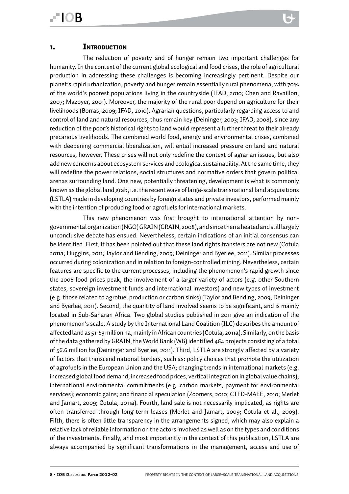The reduction of poverty and of hunger remain two important challenges for humanity. In the context of the current global ecological and food crises, the role of agricultural production in addressing these challenges is becoming increasingly pertinent. Despite our planet's rapid urbanization, poverty and hunger remain essentially rural phenomena, with 70% of the world's poorest populations living in the countryside (IFAD, 2010; Chen and Ravaillon, 2007; Mazoyer, 2001). Moreover, the majority of the rural poor depend on agriculture for their livelihoods (Borras, 2009; IFAD, 2010). Agrarian questions, particularly regarding access to and control of land and natural resources, thus remain key (Deininger, 2003; IFAD, 2008), since any reduction of the poor's historical rights to land would represent a further threat to their already precarious livelihoods. The combined world food, energy and environmental crises, combined with deepening commercial liberalization, will entail increased pressure on land and natural resources, however. These crises will not only redefine the context of agrarian issues, but also add new concerns about ecosystem services and ecological sustainability. At the same time, they will redefine the power relations, social structures and normative orders that govern political arenas surrounding land. One new, potentially threatening, development is what is commonly known as the global land grab, i.e. the recent wave of large-scale transnational land acquisitions (LSTLA) made in developing countries by foreign states and private investors, performed mainly with the intention of producing food or agrofuels for international markets.

This new phenomenon was first brought to international attention by nongovernmental organization (NGO) GRAIN (GRAIN, 2008), and since then a heated and still largely unconclusive debate has ensued. Nevertheless, certain indications of an initial consensus can be identified. First, it has been pointed out that these land rights transfers are not new (Cotula 2011a; Huggins, 2011; Taylor and Bending, 2009; Deininger and Byerlee, 2011). Similar processes occurred during colonization and in relation to foreign-controlled mining. Nevertheless, certain features are specific to the current processes, including the phenomenon's rapid growth since the 2008 food prices peak, the involvement of a larger variety of actors (e.g. other Southern states, sovereign investment funds and international investors) and new types of investment (e.g. those related to agrofuel production or carbon sinks) (Taylor and Bending, 2009; Deininger and Byerlee, 2011). Second, the quantity of land involved seems to be significant, and is mainly located in Sub-Saharan Africa. Two global studies published in 2011 give an indication of the phenomenon's scale. A study by the International Land Coalition (ILC) describes the amount of affected land as 51-63 million ha, mainly in African countries (Cotula, 2011a). Similarly, on the basis of the data gathered by GRAIN, the World Bank (WB) identified 464 projects consisting of a total of 56.6 million ha (Deininger and Byerlee, 2011). Third, LSTLA are strongly affected by a variety of factors that transcend national borders, such as: policy choices that promote the utilization of agrofuels in the European Union and the USA; changing trends in international markets (e.g. increased global food demand, increased food prices, vertical integration in global value chains); international environmental commitments (e.g. carbon markets, payment for environmental services); economic gains; and financial speculation (Zoomers, 2010; CTFD-MAEE, 2010; Merlet and Jamart, 2009; Cotula, 2011a). Fourth, land sale is not necessarily implicated, as rights are often transferred through long-term leases (Merlet and Jamart, 2009; Cotula et al., 2009). Fifth, there is often little transparency in the arrangements signed, which may also explain a relative lack of reliable information on the actors involved as well as on the types and conditions of the investments. Finally, and most importantly in the context of this publication, LSTLA are always accompanied by significant transformations in the management, access and use of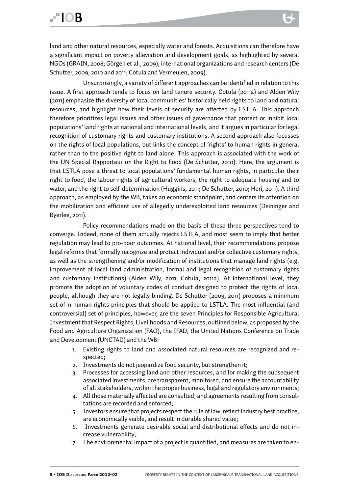land and other natural resources, especially water and forests. Acquisitions can therefore have a significant impact on poverty alleviation and development goals, as highlighted by several NGOs (GRAIN, 2008; Görgen et al., 2009), international organizations and research centers (De Schutter, 2009, 2010 and 2011; Cotula and Vermeulen, 2009).

Unsurprisingly, a variety of different approaches can be identified in relation to this issue. A first approach tends to focus on land tenure security. Cotula (2011a) and Alden Wily (2011) emphasize the diversity of local communities' historically held rights to land and natural resources, and highlight how their levels of security are affected by LSTLA. This approach therefore prioritizes legal issues and other issues of governance that protect or inhibit local populations' land rights at national and international levels, and it argues in particular for legal recognition of customary rights and customary institutions. A second approach also focusses on the rights of local populations, but links the concept of 'rights' to human rights in general rather than to the positive right to land alone. This approach is associated with the work of the UN Special Rapporteur on the Right to Food (De Schutter, 2010). Here, the argument is that LSTLA pose a threat to local populations' fundamental human rights, in particular their right to food, the labour rights of agricultural workers, the right to adequate housing and to water, and the right to self-determination (Huggins, 2011; De Schutter, 2010; Heri, 2011). A third approach, as employed by the WB, takes an economic standpoint, and centers its attention on the mobilization and efficient use of allegedly underexploited land resources (Deininger and Byerlee, 2011).

Policy recommendations made on the basis of these three perspectives tend to converge. Indeed, none of them actually rejects LSTLA, and most seem to imply that better regulation may lead to pro-poor outcomes. At national level, their recommendations propose legal reforms that formally recognize and protect individual and/or collective customary rights, as well as the strengthening and/or modification of institutions that manage land rights (e.g. improvement of local land administration, formal and legal recognition of customary rights and customary institutions) (Alden Wily, 2011; Cotula, 2011a). At international level, they promote the adoption of voluntary codes of conduct designed to protect the rights of local people, although they are not legally binding. De Schutter (2009, 2011) proposes a minimum set of 11 human rights principles that should be applied to LSTLA. The most influential (and controversial) set of principles, however, are the seven Principles for Responsible Agricultural Investment that Respect Rights, Livelihoods and Resources, outlined below, as proposed by the Food and Agriculture Organization (FAO), the IFAD, the United Nations Conference on Trade and Development (UNCTAD) and the WB:

- 1. Existing rights to land and associated natural resources are recognized and respected;
- 2. Investments do not jeopardize food security, but strengthen it;
- 3. Processes for accessing land and other resources, and for making the subsequent associated investments, are transparent, monitored, and ensure the accountability of all stakeholders, within the proper business, legal and regulatory environments;
- 4. All those materially affected are consulted, and agreements resulting from consultations are recorded and enforced;
- 5. Investors ensure that projects respect the rule of law, reflect industry best practice, are economically viable, and result in durable shared value;
- 6. Investments generate desirable social and distributional effects and do not increase vulnerability;
- 7. The environmental impact of a project is quantified, and measures are taken to en-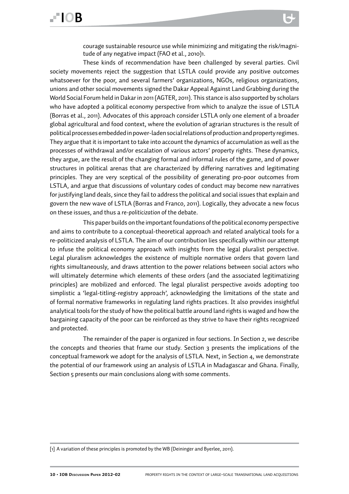courage sustainable resource use while minimizing and mitigating the risk/magnitude of any negative impact (FAO et al., 2010)1.

These kinds of recommendation have been challenged by several parties. Civil society movements reject the suggestion that LSTLA could provide any positive outcomes whatsoever for the poor, and several farmers' organizations, NGOs, religious organizations, unions and other social movements signed the Dakar Appeal Against Land Grabbing during the World Social Forum held in Dakar in 2011 (AGTER, 2011). This stance is also supported by scholars who have adopted a political economy perspective from which to analyze the issue of LSTLA (Borras et al., 2011). Advocates of this approach consider LSTLA only one element of a broader global agricultural and food context, where the evolution of agrarian structures is the result of political processes embedded in power-laden social relations of production and property regimes. They argue that it is important to take into account the dynamics of accumulation as well as the processes of withdrawal and/or escalation of various actors' property rights. These dynamics, they argue, are the result of the changing formal and informal rules of the game, and of power structures in political arenas that are characterized by differing narratives and legitimating principles. They are very sceptical of the possibility of generating pro-poor outcomes from LSTLA, and argue that discussions of voluntary codes of conduct may become new narratives for justifying land deals, since they fail to address the political and social issues that explain and govern the new wave of LSTLA (Borras and Franco, 2011). Logically, they advocate a new focus on these issues, and thus a *re-politicization* of the debate.

This paper builds on the important foundations of the political economy perspective and aims to contribute to a conceptual-theoretical approach and related analytical tools for a re-politicized analysis of LSTLA. The aim of our contribution lies specifically within our attempt to infuse the political economy approach with insights from the legal pluralist perspective. Legal pluralism acknowledges the existence of multiple normative orders that govern land rights simultaneously, and draws attention to the power relations between social actors who will ultimately determine which elements of these orders (and the associated legitimatizing principles) are mobilized and enforced. The legal pluralist perspective avoids adopting too simplistic a 'legal-titling-registry approach', acknowledging the limitations of the state and of formal normative frameworks in regulating land rights practices. It also provides insightful analytical tools for the study of how the political battle around land rights is waged and how the bargaining capacity of the poor can be reinforced as they strive to have their rights recognized and protected.

The remainder of the paper is organized in four sections. In Section 2, we describe the concepts and theories that frame our study. Section 3 presents the implications of the conceptual framework we adopt for the analysis of LSTLA. Next, in Section 4, we demonstrate the potential of our framework using an analysis of LSTLA in Madagascar and Ghana. Finally, Section 5 presents our main conclusions along with some comments.

[1] A variation of these principles is promoted by the WB (Deininger and Byerlee, 2011).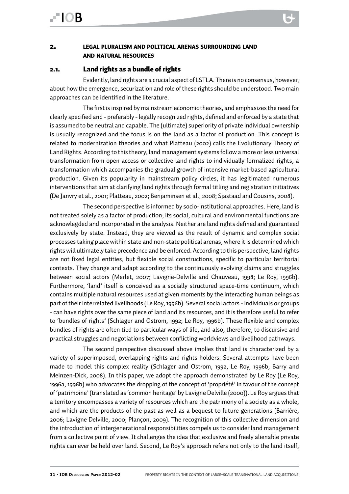#### 2. legal pluralism and political arenas surrounding land and natural resources

#### 2.1. Land rights as a bundle of rights

Evidently, land rights are a crucial aspect of LSTLA. There is no consensus, however, about how the emergence, securization and role of these rights should be understood. Two main approaches can be identified in the literature.

The first is inspired by mainstream economic theories, and emphasizes the need for clearly specified and - preferably - legally recognized rights, defined and enforced by a state that is assumed to be neutral and capable. The (ultimate) superiority of private individual ownership is usually recognized and the focus is on the land as a factor of production. This concept is related to modernization theories and what Platteau (2002) calls the Evolutionary Theory of Land Rights. According to this theory, land management systems follow a more or less universal transformation from open access or collective land rights to individually formalized rights, a transformation which accompanies the gradual growth of intensive market-based agricultural production. Given its popularity in mainstream policy circles, it has legitimated numerous interventions that aim at clarifying land rights through formal titling and registration initiatives (De Janvry et al., 2001; Platteau, 2002; Benjaminsen et al., 2008; Sjastaad and Cousins, 2008).

The second perspective is informed by socio-institutional approaches. Here, land is not treated solely as a factor of production; its social, cultural and environmental functions are acknowlegded and incorporated in the analysis. Neither are land rights defined and guaranteed exclusively by state. Instead, they are viewed as the result of dynamic and complex social processes taking place within state and non-state political arenas, where it is determined which rights will ultimately take precedence and be enforced. According to this perspective, land rights are not fixed legal entities, but flexible social constructions, specific to particular territorial contexts. They change and adapt according to the continuously evolving claims and struggles between social actors (Merlet, 2007; Lavigne-Delville and Chauveau, 1998; Le Roy, 1996b). Furthermore, 'land' itself is conceived as a socially structured space-time continuum, which contains multiple natural resources used at given moments by the interacting human beings as part of their interrelated livelihoods (Le Roy, 1996b). Several social actors - individuals or groups - can have rights over the same piece of land and its resources, and it is therefore useful to refer to 'bundles of rights' (Schlager and Ostrom, 1992; Le Roy, 1996b). These flexible and complex bundles of rights are often tied to particular ways of life, and also, therefore, to discursive and practical struggles and negotiations between conflicting worldviews and livelihood pathways.

The second perspective discussed above implies that land is characterized by a variety of superimposed, overlapping rights and rights holders. Several attempts have been made to model this complex reality (Schlager and Ostrom, 1992, Le Roy, 1996b, Barry and Meinzen-Dick, 2008). In this paper, we adopt the approach demonstrated by Le Roy (Le Roy, 1996a, 1996b) who advocates the dropping of the concept of 'propriété' in favour of the concept of 'patrimoine' (translated as 'common heritage' by Lavigne Delville (2000)). Le Roy argues that a territory encompasses a variety of resources which are the patrimony of a society as a whole, and which are the products of the past as well as a bequest to future generations (Barrière, 2006; Lavigne Delville, 2000; Plançon, 2009). The recognition of this collective dimension and the introduction of intergenerational responsibilities compels us to consider land management from a collective point of view. It challenges the idea that exclusive and freely alienable private rights can ever be held over land. Second, Le Roy's approach refers not only to the land itself,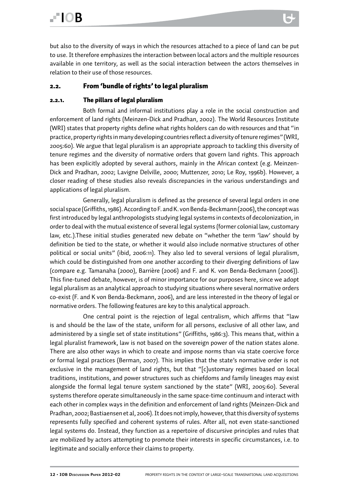but also to the diversity of ways in which the resources attached to a piece of land can be put to use. It therefore emphasizes the interaction between local actors and the multiple resources available in one territory, as well as the social interaction between the actors themselves in relation to their use of those resources.

#### 2.2. From 'bundle of rights' to legal pluralism

#### 2.2.1. The pillars of legal pluralism

Both formal and informal institutions play a role in the social construction and enforcement of land rights (Meinzen-Dick and Pradhan, 2002). The World Resources Institute (WRI) states that property rights define what rights holders can do with resources and that "in practice, property rights in many developing countries reflect a diversity of tenure regimes" (WRI, 2005:60). We argue that legal pluralism is an appropriate approach to tackling this diversity of tenure regimes and the diversity of normative orders that govern land rights. This approach has been explicitly adopted by several authors, mainly in the African context (e.g. Meinzen-Dick and Pradhan, 2002; Lavigne Delville, 2000; Muttenzer, 2010; Le Roy, 1996b). However, a closer reading of these studies also reveals discrepancies in the various understandings and applications of legal pluralism.

Generally, legal pluralism is defined as the presence of several legal orders in one social space (Griffiths, 1986). According to F. and K. von Benda-Beckmann (2006), the concept was first introduced by legal anthropologists studying legal systems in contexts of decolonization, in order to deal with the mutual existence of several legal systems (former colonial law, customary law, etc.).These initial studies generated new debate on "whether the term 'law' should by definition be tied to the state, or whether it would also include normative structures of other political or social units" (ibid, 2006:11). They also led to several versions of legal pluralism, which could be distinguished from one another according to their diverging definitions of law (compare e.g. Tamanaha (2000), Barrière (2006) and F. and K. von Benda-Beckmann (2006)). This fine-tuned debate, however, is of minor importance for our purposes here, since we adopt legal pluralism as an analytical approach to studying situations where several normative orders co-exist (F. and K von Benda-Beckmann, 2006), and are less interested in the theory of legal or normative orders. The following features are key to this analytical approach.

One central point is the rejection of legal centralism, which affirms that "law is and should be the law of the state, uniform for all persons, exclusive of all other law, and administered by a single set of state institutions" (Griffiths, 1986:3). This means that, within a legal pluralist framework, law is not based on the sovereign power of the nation states alone. There are also other ways in which to create and impose norms than via state coercive force or formal legal practices (Berman, 2007). This implies that the state's normative order is not exclusive in the management of land rights, but that "[c]ustomary regimes based on local traditions, institutions, and power structures such as chiefdoms and family lineages may exist alongside the formal legal tenure system sanctioned by the state" (WRI, 2005:60). Several systems therefore operate simultaneously in the same space-time continuum and interact with each other in complex ways in the definition and enforcement of land rights (Meinzen-Dick and Pradhan, 2002; Bastiaensen et al, 2006). It does not imply, however, that this diversity of systems represents fully specified and coherent systems of rules. After all, not even state-sanctioned legal systems do. Instead, they function as a repertoire of discursive principles and rules that are mobilized by actors attempting to promote their interests in specific circumstances, i.e. to legitimate and socially enforce their claims to property.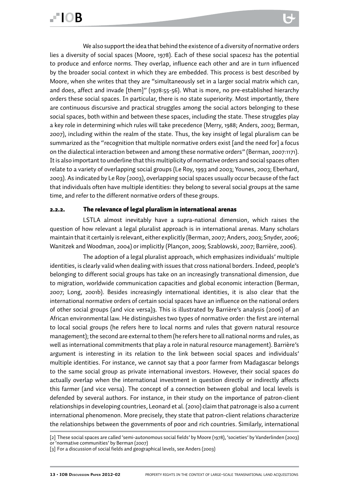We also support the idea that behind the existence of a diversity of normative orders lies a diversity of social spaces (Moore, 1978). Each of these social spaces2 has the potential to produce and enforce norms. They overlap, influence each other and are in turn influenced by the broader social context in which they are embedded. This process is best described by Moore, when she writes that they are "simultaneously set in a larger social matrix which can, and does, affect and invade [them]" (1978:55-56). What is more, no pre-established hierarchy orders these social spaces. In particular, there is no state superiority. Most importantly, there are continuous discursive and practical struggles among the social actors belonging to these social spaces, both within and between these spaces, including the state. These struggles play a key role in determining which rules will take precedence (Merry, 1988; Anders, 2003; Berman, 2007), including within the realm of the state. Thus, the key insight of legal pluralism can be summarized as the "recognition that multiple normative orders exist [and the need for] a focus on the dialectical interaction between and among these normative orders" (Berman, 2007:1171). It is also important to underline that this multiplicity of normative orders and social spaces often relate to a variety of overlapping social groups (Le Roy, 1993 and 2003; Younes, 2003; Eberhard, 2003). As indicated by Le Roy (2003), overlapping social spaces usually occur because of the fact that individuals often have multiple identities: they belong to several social groups at the same time, and refer to the different normative orders of these groups.

#### 2.2.2. The relevance of legal pluralism in international arenas

LSTLA almost inevitably have a supra-national dimension, which raises the question of how relevant a legal pluralist approach is in international arenas. Many scholars maintain that it certainly is relevant, either explicitly (Berman, 2007; Anders, 2003; Snyder, 2006; Wanitzek and Woodman, 2004) or implicitly (Plançon, 2009; Szablowski, 2007; Barrière, 2006).

The adoption of a legal pluralist approach, which emphasizes individuals' multiple identities, is clearly valid when dealing with issues that cross national borders. Indeed, people's belonging to different social groups has take on an increasingly transnational dimension, due to migration, worldwide communication capacities and global economic interaction (Berman, 2007; Long, 2001b). Besides increasingly international identities, it is also clear that the international normative orders of certain social spaces have an influence on the national orders of other social groups (and vice versa)3. This is illustrated by Barrière's analysis (2006) of an African environmental law. He distinguishes two types of normative order: the first are internal to local social groups (he refers here to local norms and rules that govern natural resource management); the second are external to them (he refers here to all national norms and rules, as well as international commitments that play a role in natural resource management). Barrière's argument is interesting in its relation to the link between social spaces and individuals' multiple identities. For instance, we cannot say that a poor farmer from Madagascar belongs to the same social group as private international investors. However, their social spaces do actually overlap when the international investment in question directly or indirectly affects this farmer (and vice versa). The concept of a connection between global and local levels is defended by several authors. For instance, in their study on the importance of patron-client relationships in developing countries, Leonard et al. (2010) claim that patronage is also a current international phenomenon. More precisely, they state that patron-client relations characterize the relationships between the governments of poor and rich countries. Similarly, international

<sup>[2]</sup> These social spaces are called 'semi-autonomous social fields' by Moore (1978), 'societies' by Vanderlinden (2003) or 'normative communities' by Berman (2007)

<sup>[3]</sup> For a discussion of social fields and geographical levels, see Anders (2003)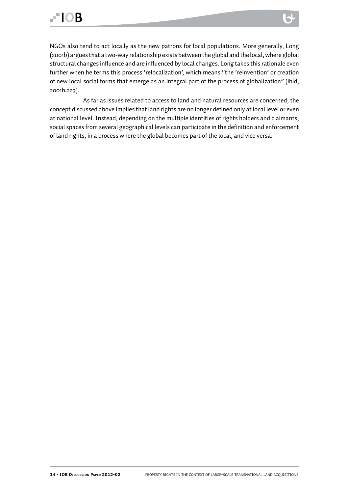NGOs also tend to act locally as the new patrons for local populations. More generally, Long (2001b) argues that a two-way relationship exists between the global and the local, where global structural changes influence and are influenced by local changes. Long takes this rationale even further when he terms this process 'relocalization', which means "the 'reinvention' or creation of new local social forms that emerge as an integral part of the process of globalization" (ibid, 2001b:223).

As far as issues related to access to land and natural resources are concerned, the concept discussed above implies that land rights are no longer defined only at local level or even at national level. Instead, depending on the multiple identities of rights holders and claimants, social spaces from several geographical levels can participate in the definition and enforcement of land rights, in a process where the global becomes part of the local, and vice versa.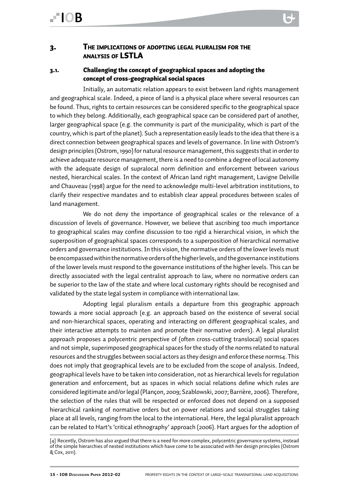## **FIOR**

#### 3. The implications of adopting legal pluralism for the analysis of LSTLA

#### 3.1. Challenging the concept of geographical spaces and adopting the concept of cross-geographical social spaces

Initially, an automatic relation appears to exist between land rights management and geographical scale. Indeed, a piece of land is a physical place where several resources can be found. Thus, rights to certain resources can be considered specific to the geographical space to which they belong. Additionally, each geographical space can be considered part of another, larger geographical space (e.g. the community is part of the municipality, which is part of the country, which is part of the planet). Such a representation easily leads to the idea that there is a direct connection between geographical spaces and levels of governance. In line with Ostrom's design principles (Ostrom, 1990) for natural resource management, this suggests that in order to achieve adequate resource management, there is a need to combine a degree of local autonomy with the adequate design of supralocal norm definition and enforcement between various nested, hierarchical scales. In the context of African land right management, Lavigne Delville and Chauveau (1998) argue for the need to acknowledge multi-level arbitration institutions, to clarify their respective mandates and to establish clear appeal procedures between scales of land management.

We do not deny the importance of geographical scales or the relevance of a discussion of levels of governance. However, we believe that ascribing too much importance to geographical scales may confine discussion to too rigid a hierarchical vision, in which the superposition of geographical spaces corresponds to a superposition of hierarchical normative orders and governance institutions. In this vision, the normative orders of the lower levels must be encompassed within the normative orders of the higher levels, and the governance institutions of the lower levels must respond to the governance institutions of the higher levels. This can be directly associated with the legal centralist approach to law, where no normative orders can be superior to the law of the state and where local customary rights should be recognised and validated by the state legal system in compliance with international law.

Adopting legal pluralism entails a departure from this geographic approach towards a more social approach (e.g. an approach based on the existence of several social and non-hierarchical spaces, operating and interacting on different geographical scales, and their interactive attempts to mainten and promote their normative orders). A legal pluralist approach proposes a polycentric perspective of (often cross-cutting translocal) social spaces and not simple, superimposed geographical spaces for the study of the norms related to natural resources and the struggles between social actors as they design and enforce these norms4. This does not imply that geographical levels are to be excluded from the scope of analysis. Indeed, geographical levels have to be taken into consideration, not as hierarchical levels for regulation generation and enforcement, but as spaces in which social relations define which rules are considered legitimate and/or legal (Plançon, 2009; Szablowski, 2007; Barrière, 2006). Therefore, the selection of the rules that will be respected or enforced does not depend on a supposed hierarchical ranking of normative orders but on power relations and social struggles taking place at all levels, ranging from the local to the international. Here, the legal pluralist approach can be related to Hart's 'critical ethnography' approach (2006). Hart argues for the adoption of

<sup>[4]</sup> Recently, Ostrom has also argued that there is a need for more complex, polycentric governance systems, instead of the simple hierarchies of nested institutions which have come to be associated with her design principles (Ostrom & Cox, 2011).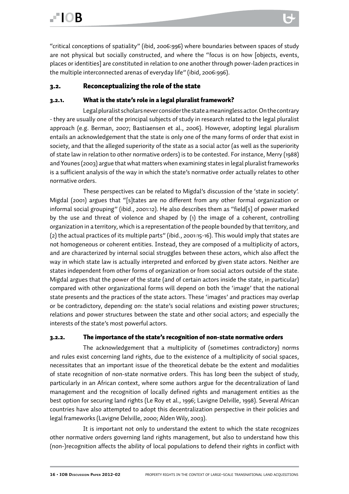"critical conceptions of spatiality" (ibid, 2006:996) where boundaries between spaces of study are not physical but socially constructed, and where the "focus is on how [objects, events, places or identities] are constituted in relation to one another through power-laden practices in the multiple interconnected arenas of everyday life" (ibid, 2006:996).

#### 3.2. Reconceptualizing the role of the state

#### 3.2.1. What is the state's role in a legal pluralist framework?

Legal pluralist scholars never consider the state a meaningless actor. On the contrary - they are usually one of the principal subjects of study in research related to the legal pluralist approach (e.g. Berman, 2007; Bastiaensen et al., 2006). However, adopting legal pluralism entails an acknowledgement that the state is only one of the many forms of order that exist in society, and that the alleged superiority of the state as a social actor (as well as the superiority of state law in relation to other normative orders) is to be contested. For instance, Merry (1988) and Younes (2003) argue that what matters when examining states in legal pluralist frameworks is a sufficient analysis of the way in which the state's normative order actually relates to other normative orders.

These perspectives can be related to Migdal's discussion of the 'state in society'. Migdal (2001) argues that "[s]tates are no different from any other formal organization or informal social grouping" (ibid., 2001:12). He also describes them as "field[s] of power marked by the use and threat of violence and shaped by (1) the image of a coherent, controlling organization in a territory, which is a representation of the people bounded by that territory, and (2) the actual practices of its multiple parts" (ibid., 2001:15-16). This would imply that states are not homogeneous or coherent entities. Instead, they are composed of a multiplicity of actors, and are characterized by internal social struggles between these actors, which also affect the way in which state law is actually interpreted and enforced by given state actors. Neither are states independent from other forms of organization or from social actors outside of the state. Migdal argues that the power of the state (and of certain actors inside the state, in particular) compared with other organizational forms will depend on both the 'image' that the national state presents and the practices of the state actors. These 'images' and practices may overlap or be contradictory, depending on: the state's social relations and existing power structures; relations and power structures between the state and other social actors; and especially the interests of the state's most powerful actors.

#### 3.2.2. The importance of the state's recognition of non-state normative orders

The acknowledgement that a multiplicity of (sometimes contradictory) norms and rules exist concerning land rights, due to the existence of a multiplicity of social spaces, necessitates that an important issue of the theoretical debate be the extent and modalities of state recognition of non-state normative orders. This has long been the subject of study, particularly in an African context, where some authors argue for the decentralization of land management and the recognition of locally defined rights and management entities as the best option for securing land rights (Le Roy et al., 1996; Lavigne Delville, 1998). Several African countries have also attempted to adopt this decentralization perspective in their policies and legal frameworks (Lavigne Delville, 2000; Alden Wily, 2003).

It is important not only to understand the extent to which the state recognizes other normative orders governing land rights management, but also to understand how this (non-)recognition affects the ability of local populations to defend their rights in conflict with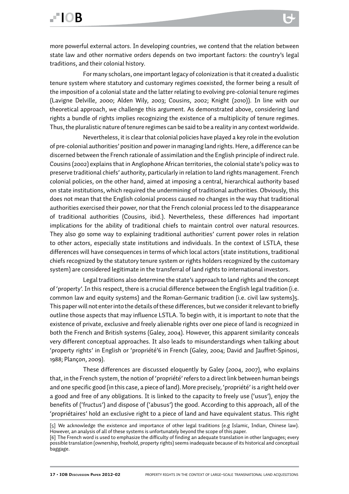For many scholars, one important legacy of colonization is that it created a dualistic tenure system where statutory and customary regimes coexisted, the former being a result of the imposition of a colonial state and the latter relating to evolving pre-colonial tenure regimes (Lavigne Delville, 2000; Alden Wily, 2003; Cousins, 2002; Knight (2010)). In line with our theoretical approach, we challenge this argument. As demonstrated above, considering land rights a bundle of rights implies recognizing the existence of a multiplicity of tenure regimes. Thus, the pluralistic nature of tenure regimes can be said to be a reality in any context worldwide.

Nevertheless, it is clear that colonial policies have played a key role in the evolution of pre-colonial authorities' position and power in managing land rights. Here, a difference can be discerned between the French rationale of assimilation and the English principle of indirect rule. Cousins (2002) explains that in Anglophone African territories, the colonial state's policy was to preserve traditional chiefs' authority, particularly in relation to land rights management. French colonial policies, on the other hand, aimed at imposing a central, hierarchical authority based on state institutions, which required the undermining of traditional authorities. Obviously, this does not mean that the English colonial process caused no changes in the way that traditional authorities exercised their power, nor that the French colonial process led to the disappearance of traditional authorities (Cousins, ibid.). Nevertheless, these differences had important implications for the ability of traditional chiefs to maintain control over natural resources. They also go some way to explaining traditional authorities' current power roles in relation to other actors, especially state institutions and individuals. In the context of LSTLA, these differences will have consequences in terms of which local actors (state institutions, traditional chiefs recognized by the statutory tenure system or rights holders recognized by the customary system) are considered legitimate in the transferral of land rights to international investors.

Legal traditions also determine the state's approach to land rights and the concept of 'property'. In this respect, there is a crucial difference between the English legal tradition (i.e. common law and equity systems) and the Roman-Germanic tradition (i.e. civil law systems)5. This paper will not enter into the details of these differences, but we consider it relevant to briefly outline those aspects that may influence LSTLA. To begin with, it is important to note that the existence of private, exclusive and freely alienable rights over one piece of land is recognized in both the French and British systems (Galey, 2004). However, this apparent similarity conceals very different conceptual approaches. It also leads to misunderstandings when talking about 'property rights' in English or 'propriété'6 in French (Galey, 2004; David and Jauffret-Spinosi, 1988; Plançon, 2009).

These differences are discussed eloquently by Galey (2004, 2007), who explains that, in the French system, the notion of 'propriété' refers to a direct link between human beings and one specific good (in this case, a piece of land). More precisely, 'propriété' is a right held over a good and free of any obligations. It is linked to the capacity to freely use ('usus'), enjoy the benefits of ('fructus') and dispose of ('abusus') the good. According to this approach, all of the 'propriétaires' hold an exclusive right to a piece of land and have equivalent status. This right

<sup>[5]</sup> We acknowledge the existence and importance of other legal traditions (e.g Islamic, Indian, Chinese law). However, an analysis of all of these systems is unfortunately beyond the scope of this paper.

<sup>[6]</sup> The French word is used to emphasize the difficulty of finding an adequate translation in other languages; every possible translation (ownership, freehold, property rights) seems inadequate because of its historical and conceptual baggage.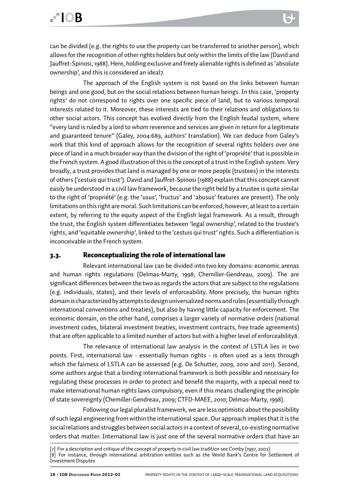can be divided (e.g. the rights to use the property can be transferred to another person), which allows for the recognition of other rights holders but only within the limits of the law (David and Jauffret-Spinosi, 1988). Here, holding exclusive and freely alienable rights is defined as 'absolute ownership', and this is considered an ideal7.

The approach of the English system is not based on the links between human beings and one good, but on the social relations between human beings. In this case, 'property rights' do not correspond to rights over one specific piece of land, but to various temporal interests related to it. Moreover, these interests are tied to their relations and obligations to other social actors. This concept has evolved directly from the English feudal system, where "every land is ruled by a lord to whom reverence and services are given in return for a legitimate and guaranteed tenure" (Galey, 2004:689, authors' translation). We can deduce from Galey's work that this kind of approach allows for the recognition of several rights holders over one piece of land in a much broader way than the division of the right of 'propriété' that is possible in the French system. A good illustration of this is the concept of a trust in the English system. Very broadly, a trust provides that land is managed by one or more people (trustees) in the interests of others ('cestuis qui trust'). David and Jauffret-Spinosi (1988) explain that this concept cannot easily be understood in a civil law framework, because the right held by a trustee is quite similar to the right of 'propriété' (e.g. the 'usus', 'fructus' and 'abusus' features are present). The only limitations on this right are moral. Such limitations can be enforced, however, at least to a certain extent, by referring to the equity aspect of the English legal framework. As a result, through the trust, the English system differentiates between 'legal ownership', related to the trustee's rights, and 'equitable ownership', linked to the 'cestuis qui trust' rights. Such a differentiation is inconceivable in the French system.

#### 3.3. Reconceptualizing the role of international law

Relevant international law can be divided into two key domains: economic arenas and human rights regulations (Delmas-Marty, 1998; Chemiller-Gendreau, 2009). The are significant differences between the two as regards the actors that are subject to the regulations (e.g. individuals, states), and their levels of enforceability. More precisely, the human rights domain is characterized by attempts to design universalized norms and rules (essentially through international conventions and treaties), but also by having little capacity for enforcement. The economic domain, on the other hand, comprises a larger variety of normative orders (national investment codes, bilateral investment treaties, investment contracts, free trade agreements) that are often applicable to a limited number of actors but with a higher level of enforceability8.

The relevance of international law analysis in the context of LSTLA lies in two points. First, international law - essentially human rights - is often used as a lens through which the fairness of LSTLA can be assessed (e.g. De Schutter, 2009, 2010 and 2011). Second, some authors argue that a binding international framework is both possible and necessary for regulating these processes in order to protect and benefit the majority, with a special need to make international human rights laws compulsory, even if this means challenging the principle of state sovereignty (Chemiller-Gendreau, 2009; CTFD-MAEE, 2010; Delmas-Marty, 1998).

Following our legal pluralist framework, we are less optimistic about the possibility of such legal engineering from within the international space. Our approach implies that it is the social relations and struggles between social actors in a context of several, co-existing normative orders that matter. International law is just one of the several normative orders that have an

<sup>[7]</sup> For a description and critique of the concept of property in civil law tradition see Comby (1997, 2002) [8] For instance, through international arbitration entities such as the World Bank's Centre for Settlement of Investment Disputes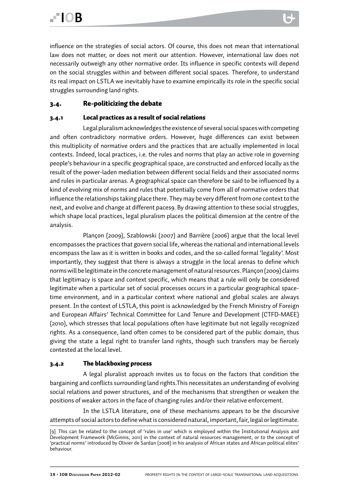influence on the strategies of social actors. Of course, this does not mean that international law does not matter, or does not merit our attention. However, international law does not necessarily outweigh any other normative order. Its influence in specific contexts will depend on the social struggles within and between different social spaces. Therefore, to understand its real impact on LSTLA we inevitably have to examine empirically its role in the specific social struggles surrounding land rights.

#### 3.4. Re-politicizing the debate

#### 3.4.1 Local practices as a result of social relations

Legal pluralism acknowledges the existence of several social spaces with competing and often contradictory normative orders. However, huge differences can exist between this multiplicity of normative orders and the practices that are actually implemented in local contexts. Indeed, local practices, i.e. the rules and norms that play an active role in governing people's behaviour in a specific geographical space, are constructed and enforced locally as the result of the power-laden mediation between different social fields and their associated norms and rules in particular arenas. A geographical space can therefore be said to be influenced by a kind of evolving mix of norms and rules that potentially come from all of normative orders that influence the relationships taking place there. They may be very different from one context to the next, and evolve and change at different paces9. By drawing attention to these social struggles, which shape local practices, legal pluralism places the political dimension at the centre of the analysis.

Plançon (2009), Szablowski (2007) and Barrière (2006) argue that the local level encompasses the practices that govern social life, whereas the national and international levels encompass the law as it is written in books and codes, and the so-called formal 'legality'. Most importantly, they suggest that there is always a struggle in the local arenas to define which norms will be legitimate in the concrete management of natural resources. Plançon (2009) claims that legitimacy is space and context specific, which means that a rule will only be considered legitimate when a particular set of social processes occurs in a particular geographical spacetime environment, and in a particular context where national and global scales are always present. In the context of LSTLA, this point is acknowledged by the French Ministry of Foreign and European Affairs' Technical Committee for Land Tenure and Development (CTFD-MAEE) (2010), which stresses that local populations often have legitimate but not legally recognized rights. As a consequence, land often comes to be considered part of the public domain, thus giving the state a legal right to transfer land rights, though such transfers may be fiercely contested at the local level.

#### 3.4.2 The blackboxing process

A legal pluralist approach invites us to focus on the factors that condition the bargaining and conflicts surrounding land rights.This necessitates an understanding of evolving social relations and power structures, and of the mechanisms that strengthen or weaken the positions of weaker actors in the face of changing rules and/or their relative enforcement.

In the LSTLA literature, one of these mechanisms appears to be the discursive attempts of social actors to define what is considered natural, important, fair, legal or legitimate.

<sup>[9]</sup> This can be related to the concept of 'rules in use' which is employed within the Institutional Analysis and Development Framework (McGinnis, 2011) in the context of natural resources management, or to the concept of 'practical norms' introduced by Olivier de Sardan (2008) in his analysis of African states and African political elites' behaviour.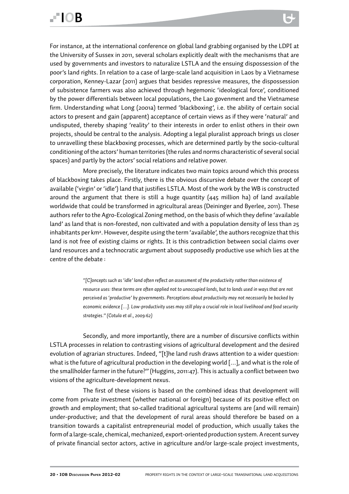For instance, at the international conference on global land grabbing organised by the LDPI at the University of Sussex in 2011, several scholars explicitly dealt with the mechanisms that are used by governments and investors to naturalize LSTLA and the ensuing dispossession of the poor's land rights. In relation to a case of large-scale land acquisition in Laos by a Vietnamese corporation, Kenney-Lazar (2011) argues that besides repressive measures, the dispossession of subsistence farmers was also achieved through hegemonic 'ideological force', conditioned by the power differentials between local populations, the Lao govenment and the Vietnamese firm. Understanding what Long (2001a) termed 'blackboxing', i.e. the ability of certain social actors to present and gain (apparent) acceptance of certain views as if they were 'natural' and undisputed, thereby shaping 'reality' to their interests in order to enlist others in their own projects, should be central to the analysis. Adopting a legal pluralist approach brings us closer to unravelling these blackboxing processes, which are determined partly by the socio-cultural conditioning of the actors' human territories (the rules and norms characteristic of several social spaces) and partly by the actors' social relations and relative power.

More precisely, the literature indicates two main topics around which this process of blackboxing takes place. Firstly, there is the obvious discursive debate over the concept of available ('virgin' or 'idle') land that justifies LSTLA. Most of the work by the WB is constructed around the argument that there is still a huge quantity (445 million ha) of land available worldwide that could be transformed in agricultural areas (Deininger and Byerlee, 2011). These authors refer to the Agro-Ecological Zoning method, on the basis of which they define 'available land' as land that is non-forested, non cultivated and with a population density of less than 25 inhabitants per km². However, despite using the term 'available', the authors recognize that this land is not free of existing claims or rights. It is this contradiction between social claims over land resources and a technocratic argument about supposedly productive use which lies at the centre of the debate :

> *"[C]oncepts such as 'idle' land often reflect an assessment of the productivity rather than existence of resource uses: these terms are often applied not to unoccupied lands, but to lands used in ways that are not perceived as 'productive' by governments. Perceptions about productivity may not necessarily be backed by economic evidence […]. Low-productivity uses may still play a crucial role in local livelihood and food security strategies." (Cotula et al., 2009:62)*

Secondly, and more importantly, there are a number of discursive conflicts within LSTLA processes in relation to contrasting visions of agricultural development and the desired evolution of agrarian structures. Indeed, "[t]he land rush draws attention to a wider question: what is the future of agricultural production in the developing world […], and what is the role of the smallholder farmer in the future?" (Huggins, 2011:47). This is actually a conflict between two visions of the agriculture-development nexus.

The first of these visions is based on the combined ideas that development will come from private investment (whether national or foreign) because of its positive effect on growth and employment; that so-called traditional agricultural systems are (and will remain) under-productive; and that the development of rural areas should therefore be based on a transition towards a capitalist entrepreneurial model of production, which usually takes the form of a large-scale, chemical, mechanized, export-oriented production system. A recent survey of private financial sector actors, active in agriculture and/or large-scale project investments,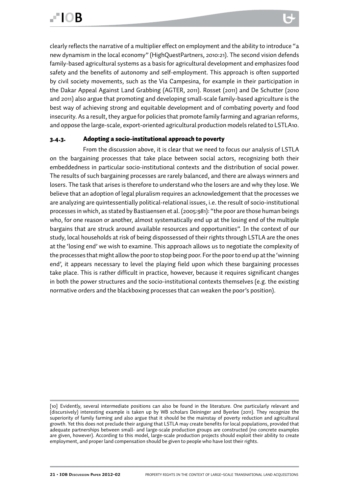clearly reflects the narrative of a multiplier effect on employment and the ability to introduce "a new dynamism in the local economy" (HighQuestPartners, 2010:21). The second vision defends family-based agricultural systems as a basis for agricultural development and emphasizes food safety and the benefits of autonomy and self-employment. This approach is often supported by civil society movements, such as the Via Campesina, for example in their participation in the Dakar Appeal Against Land Grabbing (AGTER, 2011). Rosset (2011) and De Schutter (2010 and 2011) also argue that promoting and developing small-scale family-based agriculture is the best way of achieving strong and equitable development and of combating poverty and food insecurity. As a result, they argue for policies that promote family farming and agrarian reforms, and oppose the large-scale, export-oriented agricultural production models related to LSTLA10.

#### 3.4.3. Adopting a socio-institutional approach to poverty

From the discussion above, it is clear that we need to focus our analysis of LSTLA on the bargaining processes that take place between social actors, recognizing both their embeddedness in particular socio-institutional contexts and the distribution of social power. The results of such bargaining processes are rarely balanced, and there are always winners and losers. The task that arises is therefore to understand who the losers are and why they lose. We believe that an adoption of legal pluralism requires an acknowledgement that the processes we are analyzing are quintessentially political-relational issues, i.e. the result of socio-institutional processes in which, as stated by Bastiaensen et al. (2005:981): "the poor are those human beings who, for one reason or another, almost systematically end up at the losing end of the multiple bargains that are struck around available resources and opportunities". In the context of our study, local households at risk of being dispossessed of their rights through LSTLA are the ones at the 'losing end' we wish to examine. This approach allows us to negotiate the complexity of the processes that might allow the poor to stop being poor. For the poor to end up at the 'winning end', it appears necessary to level the playing field upon which these bargaining processes take place. This is rather difficult in practice, however, because it requires significant changes in both the power structures and the socio-institutional contexts themselves (e.g. the existing normative orders and the blackboxing processes that can weaken the poor's position).

<sup>[10]</sup> Evidently, several intermediate positions can also be found in the literature. One particularly relevant and (discursively) interesting example is taken up by WB scholars Deininger and Byerlee (2011). They recognize the superiority of family farming and also argue that it should be the mainstay of poverty reduction and agricultural growth. Yet this does not preclude their arguing that LSTLA may create benefits for local populations, provided that adequate partnerships between small- and large-scale production groups are constructed (no concrete examples are given, however). According to this model, large-scale production projects should exploit their ability to create employment, and proper land compensation should be given to people who have lost their rights.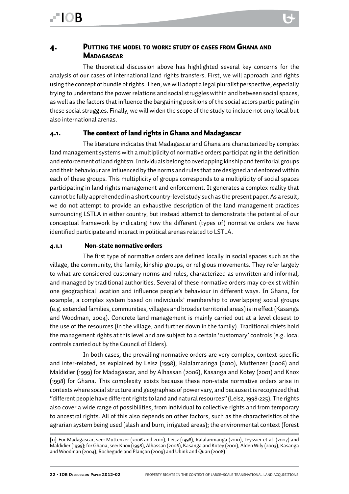#### 4. Putting the model to work: study of cases from Ghana and **MADAGASCAR**

The theoretical discussion above has highlighted several key concerns for the analysis of our cases of international land rights transfers. First, we will approach land rights using the concept of bundle of rights. Then, we will adopt a legal pluralist perspective, especially trying to understand the power relations and social struggles within and between social spaces, as well as the factors that influence the bargaining positions of the social actors participating in these social struggles. Finally, we will widen the scope of the study to include not only local but also international arenas.

#### 4.1. The context of land rights in Ghana and Madagascar

The literature indicates that Madagascar and Ghana are characterized by complex land management systems with a multiplicity of normative orders participating in the definition and enforcement of land rights11. Individuals belong to overlapping kinship and territorial groups and their behaviour are influenced by the norms and rules that are designed and enforced within each of these groups. This multiplicity of groups corresponds to a multiplicity of social spaces participating in land rights management and enforcement. It generates a complex reality that cannot be fully apprehended in a short country-level study such as the present paper. As a result, we do not attempt to provide an exhaustive description of the land management practices surrounding LSTLA in either country, but instead attempt to demonstrate the potential of our conceptual framework by indicating how the different (types of) normative orders we have identified participate and interact in political arenas related to LSTLA.

#### 4.1.1 Non-state normative orders

The first type of normative orders are defined locally in social spaces such as the village, the community, the family, kinship groups, or religious movements. They refer largely to what are considered customary norms and rules, characterized as unwritten and informal, and managed by traditional authorities. Several of these normative orders may co-exist within one geographical location and influence people's behaviour in different ways. In Ghana, for example, a complex system based on individuals' membership to overlapping social groups (e.g. extended families, communities, villages and broader territorial areas) is in effect (Kasanga and Woodman, 2004). Concrete land management is mainly carried out at a level closest to the use of the resources (in the village, and further down in the family). Traditional chiefs hold the management rights at this level and are subject to a certain 'customary' controls (e.g. local controls carried out by the Council of Elders).

In both cases, the prevailing normative orders are very complex, context-specific and inter-related, as explained by Leisz (1998), Ralalamaringa (2010), Muttenzer (2006) and Maldidier (1999) for Madagascar, and by Alhassan (2006), Kasanga and Kotey (2001) and Knox (1998) for Ghana. This complexity exists because these non-state normative orders arise in contexts where social structure and geographies of power vary, and because it is recognized that "different people have different rights to land and natural resources" (Leisz, 1998:225). The rights also cover a wide range of possibilities, from individual to collective rights and from temporary to ancestral rights. All of this also depends on other factors, such as the characteristics of the agrarian system being used (slash and burn, irrigated areas); the environmental context (forest

<sup>[11]</sup> For Madagascar, see: Muttenzer (2006 and 2010), Leisz (1998), Ralalarimanga (2010), Teyssier et al. (2007) and Maldidier (1999); for Ghana, see: Knox (1998), Alhassan (2006), Kasanga and Kotey (2001), Alden Wily (2003), Kasanga and Woodman (2004), Rochegude and Plançon (2009) and Ubink and Quan (2008)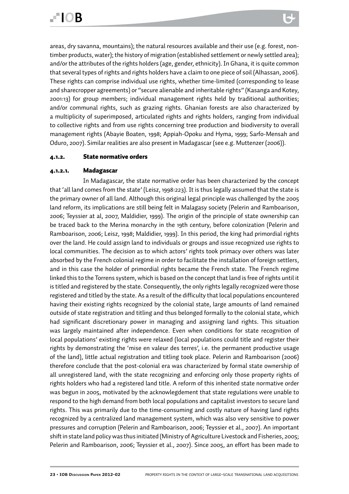areas, dry savanna, mountains); the natural resources available and their use (e.g. forest, nontimber products, water); the history of migration (established settlement or newly settled area); and/or the attributes of the rights holders (age, gender, ethnicity). In Ghana, it is quite common that several types of rights and rights holders have a claim to one piece of soil (Alhassan, 2006). These rights can comprise individual use rights, whether time-limited (corresponding to lease and sharecropper agreements) or "secure alienable and inheritable rights" (Kasanga and Kotey, 2001:13) for group members; individual management rights held by traditional authorities; and/or communal rights, such as grazing rights. Ghanian forests are also characterized by a multiplicity of superimposed, articulated rights and rights holders, ranging from individual to collective rights and from use rights concerning tree production and biodiversity to overall management rights (Abayie Boaten, 1998; Appiah-Opoku and Hyma, 1999; Sarfo-Mensah and Oduro, 2007). Similar realities are also present in Madagascar (see e.g. Muttenzer (2006)).

#### 4.1.2. State normative orders

#### 4.1.2.1. Madagascar

In Madagascar, the state normative order has been characterized by the concept that 'all land comes from the state' (Leisz, 1998:223). It is thus legally assumed that the state is the primary owner of all land. Although this original legal principle was challenged by the 2005 land reform, its implications are still being felt in Malagasy society (Pelerin and Ramboarison, 2006; Teyssier at al, 2007, Maldidier, 1999). The origin of the principle of state ownership can be traced back to the Merina monarchy in the 19th century, before colonization (Pelerin and Ramboarison, 2006; Leisz, 1998; Maldidier, 1999). In this period, the king had primordial rights over the land. He could assign land to individuals or groups and issue recognized use rights to local communities. The decision as to which actors' rights took primacy over others was later absorbed by the French colonial regime in order to facilitate the installation of foreign settlers, and in this case the holder of primordial rights became the French state. The French regime linked this to the Torrens system, which is based on the concept that land is free of rights until it is titled and registered by the state. Consequently, the only rights legally recognized were those registered and titled by the state. As a result of the difficulty that local populations encountered having their existing rights recognized by the colonial state, large amounts of land remained outside of state registration and titling and thus belonged formally to the colonial state, which had significant discretionary power in managing and assigning land rights. This situation was largely maintained after independence. Even when conditions for state recognition of local populations' existing rights were relaxed (local populations could title and register their rights by demonstrating the 'mise en valeur des terres', i.e. the permanent productive usage of the land), little actual registration and titling took place. Pelerin and Ramboarison (2006) therefore conclude that the post-colonial era was characterized by formal state ownership of all unregistered land, with the state recognizing and enforcing only those property rights of rights holders who had a registered land title. A reform of this inherited state normative order was begun in 2005, motivated by the acknowlegdement that state regulations were unable to respond to the high demand from both local populations and capitalist investors to secure land rights. This was primarily due to the time-consuming and costly nature of having land rights recognized by a centralized land management system, which was also very sensitive to power pressures and corruption (Pelerin and Ramboarison, 2006; Teyssier et al., 2007). An important shift in state land policy was thus initiated (Ministry of Agriculture Livestock and Fisheries, 2005; Pelerin and Ramboarison, 2006; Teyssier et al., 2007). Since 2005, an effort has been made to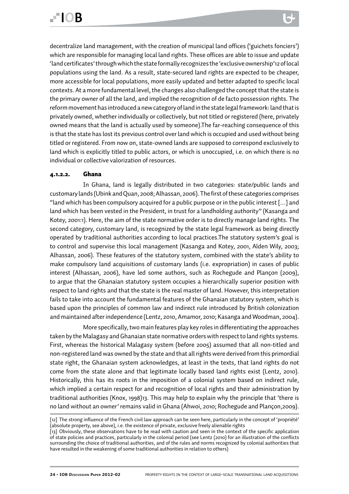decentralize land management, with the creation of municipal land offices ('guichets fonciers') which are responsible for managing local land rights. These offices are able to issue and update 'land certificates' through which the state formally recognizes the 'exclusive ownership'12 of local populations using the land. As a result, state-secured land rights are expected to be cheaper, more accessible for local populations, more easily updated and better adapted to specific local contexts. At a more fundamental level, the changes also challenged the concept that the state is the primary owner of all the land, and implied the recognition of de facto possession rights. The reform movement has introduced a new category of land in the state legal framework: land that is privately owned, whether individually or collectively, but not titled or registered (here, privately owned means that the land is actually used by someone).The far-reaching consequence of this is that the state has lost its previous control over land which is occupied and used without being titled or registered. From now on, state-owned lands are supposed to correspond exclusively to land which is explicitly titled to public actors, or which is unoccupied, i.e. on which there is no individual or collective valorization of resources.

#### 4.1.2.2. Ghana

In Ghana, land is legally distributed in two categories: state/public lands and customary lands (Ubink and Quan, 2008; Alhassan, 2006). The first of these categories comprises "land which has been compulsory acquired for a public purpose or in the public interest […] and land which has been vested in the President, in trust for a landholding authority" (Kasanga and Kotey, 2001:1). Here, the aim of the state normative order is to directly manage land rights. The second category, customary land, is recognized by the state legal framework as being directly operated by traditional authorities according to local practices.The statutory system's goal is to control and supervise this local management (Kasanga and Kotey, 2001, Alden Wily, 2003; Alhassan, 2006). These features of the statutory system, combined with the state's ability to make compulsory land acquisitions of customary lands (i.e. expropriation) in cases of public interest (Alhassan, 2006), have led some authors, such as Rochegude and Plançon (2009), to argue that the Ghanaian statutory system occupies a hierarchically superior position with respect to land rights and that the state is the real master of land. However, this interpretation fails to take into account the fundamental features of the Ghanaian statutory system, which is based upon the principles of common law and indirect rule introduced by British colonization and maintained after independence (Lentz, 2010, Amamor, 2010; Kasanga and Woodman, 2004).

More specifically, two main features play key roles in differentiating the approaches taken by the Malagasy and Ghanaian state normative orders with respect to land rights systems. First, whereas the historical Malagasy system (before 2005) assumed that all non-titled and non-registered land was owned by the state and that all rights were derived from this primordial state right, the Ghanaian system acknowledges, at least in the texts, that land rights do not come from the state alone and that legitimate locally based land rights exist (Lentz, 2010). Historically, this has its roots in the imposition of a colonial system based on indirect rule, which implied a certain respect for and recognition of local rights and their administration by traditional authorities (Knox, 1998)13. This may help to explain why the principle that 'there is no land without an owner' remains valid in Ghana (Ahwoi, 2010; Rochegude and Plançon,2009).

<sup>[12]</sup> The strong influence of the French civil law approach can be seen here, particularly in the concept of 'propriété' (absolute property, see above), i.e. the existence of private, exclusive freely alienable rights

<sup>[13]</sup> Obviously, these observations have to be read with caution and seen in the context of the specific application of state policies and practices, particularly in the colonial period (see Lentz (2010) for an illustration of the conflicts surrounding the choice of traditional authorities, and of the rules and norms recognized by colonial authorities that have resulted in the weakening of some traditional authorities in relation to others)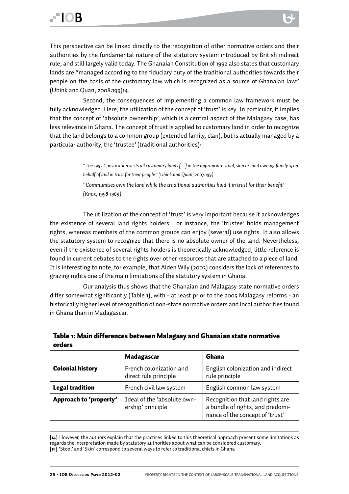This perspective can be linked directly to the recognition of other normative orders and their authorities by the fundamental nature of the statutory system introduced by British indirect rule, and still largely valid today. The Ghanaian Constitution of 1992 also states that customary lands are "managed according to the fiduciary duty of the traditional authorities towards their people on the basis of the customary law which is recognized as a source of Ghanaian law" (Ubink and Quan, 2008:199)14.

Second, the consequences of implementing a common law framework must be fully acknowledged. Here, the utilization of the concept of 'trust' is key. In particular, it implies that the concept of 'absolute ownership', which is a central aspect of the Malagasy case, has less relevance in Ghana. The concept of trust is applied to customary land in order to recognize that the land belongs to a common group (extended family, clan), but is actually managed by a particular authority, the 'trustee' (traditional authorities):

> *"The 1992 Constitution vests all customary lands […] in the appropriate stool, skin or land owning family*15 *on behalf of and in trust for their people" (Ubink and Quan, 2007:199).*

*"Communities own the land while the traditional authorities hold it in trust for their benefit" (Knox, 1998:1969)*

The utilization of the concept of 'trust' is very important because it acknowledges the existence of several land rights holders. For instance, the 'trustee' holds management rights, whereas members of the common groups can enjoy (several) use rights. It also allows the statutory system to recognize that there is no absolute owner of the land. Nevertheless, even if the existence of several rights holders is theoretically acknowledged, little reference is found in current debates to the rights over other resources that are attached to a piece of land. It is interesting to note, for example, that Alden Wily (2003) considers the lack of references to grazing rights one of the main limitations of the statutory system in Ghana.

Our analysis thus shows that the Ghanaian and Malagasy state normative orders differ somewhat significantly (Table 1), with - at least prior to the 2005 Malagasy reforms - an historically higher level of recognition of non-state normative orders and local authorities found in Ghana than in Madagascar.

|                         | Madagascar                                       | Ghana                                                                                                   |  |  |
|-------------------------|--------------------------------------------------|---------------------------------------------------------------------------------------------------------|--|--|
| <b>Colonial history</b> | French colonization and<br>direct rule principle | English colonization and indirect<br>rule principle                                                     |  |  |
| <b>Legal tradition</b>  | French civil law system                          | English common law system                                                                               |  |  |
| Approach to 'property'  | Ideal of the 'absolute own-<br>ership' principle | Recognition that land rights are<br>a bundle of rights, and predomi-<br>nance of the concept of 'trust' |  |  |

#### Table 1: Main differences between Malagasy and Ghanaian state normative orders

[14] However, the authors explain that the practices linked to this theoretical approach present some limitations as regards the interpretation made by statutory authorities about what can be considered customary. [15] 'Stool' and 'Skin' correspond to several ways to refer to traditional chiefs in Ghana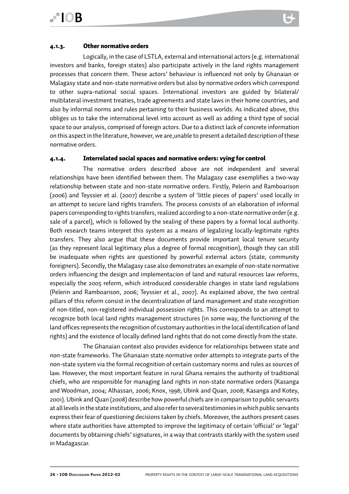#### 4.1.3. Other normative orders

Logically, in the case of LSTLA, external and international actors (e.g. international investors and banks, foreign states) also participate actively in the land rights management processes that concern them. These actors' behaviour is influenced not only by Ghanaian or Malagasy state and non-state normative orders but also by normative orders which correspond to other supra-national social spaces. International investors are guided by bilateral/ multilateral investment treaties, trade agreements and state laws in their home countries, and also by informal norms and rules pertaining to their business worlds. As indicated above, this obliges us to take the international level into account as well as adding a third type of social space to our analysis, comprised of foreign actors. Due to a distinct lack of concrete information on this aspect in the literature, however, we are,unable to present a detailed description of these normative orders.

#### 4.1.4. Interrelated social spaces and normative orders: vying for control

The normative orders described above are not independent and several relationships have been identified between them. The Malagasy case exemplifies a two-way relationship between state and non-state normative orders. Firstly, Pelerin and Ramboarison (2006) and Teyssier et al. (2007) describe a system of 'little pieces of papers' used locally in an attempt to secure land rights transfers. The process consists of an elaboration of informal papers corresponding to rights transfers, realized according to a non-state normative order (e.g. sale of a parcel), which is followed by the sealing of these papers by a formal local authority. Both research teams interpret this system as a means of legalizing locally-legitimate rights transfers. They also argue that these documents provide important local tenure security (as they represent local legitimacy plus a degree of formal recognition), though they can still be inadequate when rights are questioned by powerful external actors (state, community foreigners). Secondly, the Malagasy case also demonstrates an example of non-state normative orders influencing the design and implementacion of land and natural resources law reforms, especially the 2005 reform, which introduced considerable changes in state land regulations (Pelerin and Ramboarison, 2006; Teyssier et al., 2007). As explained above, the two central pillars of this reform consist in the decentralization of land management and state recognition of non-titled, non-registered individual possession rights. This corresponds to an attempt to recognize both local land rights management structures (in some way, the functioning of the land offices represents the recognition of customary authorities in the local identification of land rights) and the existence of locally defined land rights that do not come directly from the state.

The Ghanaian context also provides evidence for relationships between state and non-state frameworks. The Ghanaian state normative order attempts to integrate parts of the non-state system via the formal recognition of certain customary norms and rules as sources of law. However, the most important feature in rural Ghana remains the authority of traditional chiefs, who are responsible for managing land rights in non-state normative orders (Kasanga and Woodman, 2004; Alhassan, 2006; Knox, 1998; Ubink and Quan, 2008; Kasanga and Kotey, 2001). Ubink and Quan (2008) describe how powerful chiefs are in comparison to public servants at all levels in the state institutions, and also refer to several testimonies in which public servants express their fear of questioning decisions taken by chiefs. Moreover, the authors present cases where state authorities have attempted to improve the legitimacy of certain 'official' or 'legal' documents by obtaining chiefs' signatures, in a way that contrasts starkly with the system used in Madagascar.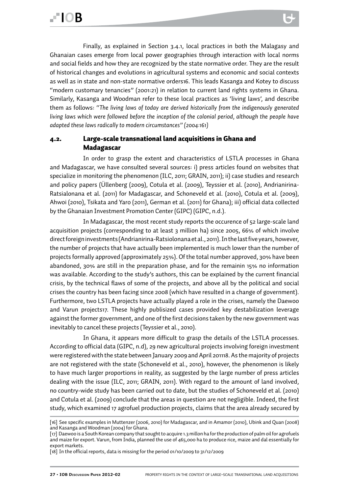Finally, as explained in Section 3.4.1, local practices in both the Malagasy and Ghanaian cases emerge from local power geographies through interaction with local norms and social fields and how they are recognized by the state normative order. They are the result of historical changes and evolutions in agricultural systems and economic and social contexts as well as in state and non-state normative orders16. This leads Kasanga and Kotey to discuss "modern customary tenancies" (2001:21) in relation to current land rights systems in Ghana. Similarly, Kasanga and Woodman refer to these local practices as 'living laws', and describe them as follows: *"The living laws of today are derived historically from the indigenously generated living laws which were followed before the inception of the colonial period, although the people have adapted these laws radically to modern circumstances" (2004:161)*

#### 4.2. Large-scale transnational land acquisitions in Ghana and Madagascar

In order to grasp the extent and characteristics of LSTLA processes in Ghana and Madagascar, we have consulted several sources: i) press articles found on websites that specialize in monitoring the phenomenon (ILC, 2011; GRAIN, 2011); ii) case studies and research and policy papers (Üllenberg (2009), Cotula et al. (2009), Teyssier et al. (2010), Andrianirina-Ratsialonana et al. (2011) for Madagascar, and Schoneveld et al. (2010), Cotula et al. (2009), Ahwoi (2010), Tsikata and Yaro (2011), German et al. (2011) for Ghana); iii) official data collected by the Ghanaian Investment Promotion Center (GIPC) (GIPC, n.d.).

In Madagascar, the most recent study reports the occurence of 52 large-scale land acquisition projects (corresponding to at least 3 million ha) since 2005, 66% of which involve direct foreign investments (Andrianirina-Ratsiolonana et al., 2011). In the last five years, however, the number of projects that have actually been implemented is much lower than the number of projects formally approved (approximately 25%). Of the total number approved, 30% have been abandoned, 30% are still in the preparation phase, and for the remainin 15% no information was available. According to the study's authors, this can be explained by the current financial crisis, by the technical flaws of some of the projects, and above all by the political and social crises the country has been facing since 2008 (which have resulted in a change of government). Furthermore, two LSTLA projects have actually played a role in the crises, namely the Daewoo and Varun projects17. These highly publisized cases provided key destabilization leverage against the former government, and one of the first decisions taken by the new government was inevitably to cancel these projects (Teyssier et al., 2010).

In Ghana, it appears more difficult to grasp the details of the LSTLA processes. According to official data (GIPC, n.d), 29 new agricultural projects involving foreign investment were registered with the state between January 2009 and April 201118. As the majority of projects are not registered with the state (Schoneveld et al., 2010), however, the phenomenon is likely to have much larger proportions in reality, as suggested by the large number of press articles dealing with the issue (ILC, 2011; GRAIN, 2011). With regard to the amount of land involved, no country-wide study has been carried out to date, but the studies of Schoneveld et al. (2010) and Cotula et al. (2009) conclude that the areas in question are not negligible. Indeed, the first study, which examined 17 agrofuel production projects, claims that the area already secured by

<sup>[16]</sup> See specific examples in Muttenzer (2006, 2010) for Madagascar, and in Amamor (2010), Ubink and Quan (2008) and Kasanga and Woodman (2004) for Ghana.

<sup>[17]</sup> Daewoo is a South Korean company that sought to acquire 1.3 millon ha for the production of palm oil for agrofuels and maize for export. Varun, from India, planned the use of 465,000 ha to produce rice, maize and dal essentially for export markets.

<sup>[18]</sup> In the official reports, data is missing for the period 01/10/2009 to 31/12/2009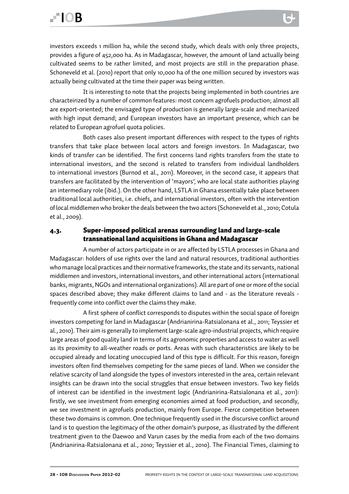investors exceeds 1 million ha, while the second study, which deals with only three projects, provides a figure of 452,000 ha. As in Madagascar, however, the amount of land actually being cultivated seems to be rather limited, and most projects are still in the preparation phase. Schoneveld et al. (2010) report that only 10,000 ha of the one million secured by investors was actually being cultivated at the time their paper was being written.

It is interesting to note that the projects being implemented in both countries are characteirized by a number of common features: most concern agrofuels production; almost all are export-oriented; the envisaged type of production is generally large-scale and mechanized with high input demand; and European investors have an important presence, which can be related to European agrofuel quota policies.

Both cases also present important differences with respect to the types of rights transfers that take place between local actors and foreign investors. In Madagascar, two kinds of transfer can be identified. The first concerns land rights transfers from the state to international investors, and the second is related to transfers from individual landholders to international investors (Burnod et al., 2011). Moreover, in the second case, it appears that transfers are facilitated by the intervention of 'mayors', who are local state authorities playing an intermediary role (ibid.). On the other hand, LSTLA in Ghana essentially take place between traditional local authorities, i.e. chiefs, and international investors, often with the intervention of local middlemen who broker the deals between the two actors (Schoneveld et al., 2010; Cotula et al., 2009).

#### 4.3. Super-imposed political arenas surrounding land and large-scale transnational land acquisitions in Ghana and Madagascar

A number of actors participate in or are affected by LSTLA processes in Ghana and Madagascar: holders of use rights over the land and natural resources, traditional authorities who manage local practices and their normative frameworks, the state and its servants, national middlemen and investors, international investors, and other international actors (international banks, migrants, NGOs and international organizations). All are part of one or more of the social spaces described above; they make different claims to land and - as the literature reveals frequently come into conflict over the claims they make.

A first sphere of conflict corresponds to disputes within the social space of foreign investors competing for land in Madagascar (Andrianirina-Ratsialonana et al., 2011; Teyssier et al., 2010). Their aim is generally to implement large-scale agro-industrial projects, which require large areas of good quality land in terms of its agronomic properties and access to water as well as its proximity to all-weather roads or ports. Areas with such characteristics are likely to be occupied already and locating unoccupied land of this type is difficult. For this reason, foreign investors often find themselves competing for the same pieces of land. When we consider the relative scarcity of land alongside the types of investors interested in the area, certain relevant insights can be drawn into the social struggles that ensue between investors. Two key fields of interest can be identified in the investment logic (Andrianirina-Ratsialonana et al., 2011): firstly, we see investment from emerging economies aimed at food production, and secondly, we see investment in agrofuels production, mainly from Europe. Fierce competition between these two domains is common. One technique frequently used in the discursive conflict around land is to question the legitimacy of the other domain's purpose, as illustrated by the different treatment given to the Daewoo and Varun cases by the media from each of the two domains (Andrianirina-Ratsialonana et al., 2010; Teyssier et al., 2010). The Financial Times, claiming to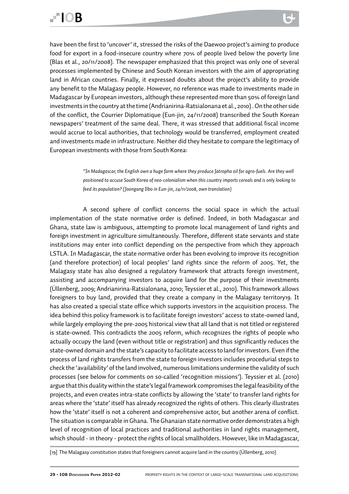have been the first to 'uncover' it, stressed the risks of the Daewoo project's aiming to produce food for export in a food-insecure country where 70% of people lived below the poverty line (Blas et al., 20/11/2008). The newspaper emphasized that this project was only one of several processes implemented by Chinese and South Korean investors with the aim of appropriating land in African countries. Finally, it expressed doubts about the project's ability to provide any benefit to the Malagasy people. However, no reference was made to investments made in Madagascar by European investors, although these represented more than 50% of foreign land investments in the country at the time (Andrianirina-Ratsialonana et al., 2010) . On the other side of the conflict, the Courrier Diplomatique (Eun-jin, 24/11/2008) transcribed the South Korean newspapers' treatment of the same deal. There, it was stressed that additional fiscal income would accrue to local authorities, that technology would be transferred, employment created and investments made in infrastructure. Neither did they hesitate to compare the legitimacy of European investments with those from South Korea:

> *"In Madagascar, the English own a huge farm where they produce Jatropha oil for agro-fuels. Are they well positioned to accuse South Korea of neo-colonialism when this country imports cereals and is only looking to feed its population? (Joongang Ilbo in Eun-jin, 24/11/2008, own translation)*

A second sphere of conflict concerns the social space in which the actual implementation of the state normative order is defined. Indeed, in both Madagascar and Ghana, state law is ambiguous, attempting to promote local management of land rights and foreign investment in agriculture simultaneously. Therefore, different state servants and state institutions may enter into conflict depending on the perspective from which they approach LSTLA. In Madagascar, the state normative order has been evolving to improve its recognition (and therefore protection) of local peoples' land rights since the reform of 2005. Yet, the Malagasy state has also designed a regulatory framework that attracts foreign investment, assisting and accompanying investors to acquire land for the purpose of their investments (Üllenberg, 2009; Andrianirina-Ratsialonana, 2010; Teyssier et al., 2010). This framework allows foreigners to buy land, provided that they create a company in the Malagasy territory19. It has also created a special state office which supports investors in the acquisition process. The idea behind this policy framework is to facilitate foreign investors' access to state-owned land, while largely employing the pre-2005 historical view that all land that is not titled or registered is state-owned. This contradicts the 2005 reform, which recognizes the rights of people who actually occupy the land (even without title or registration) and thus significantly reduces the state-owned domain and the state's capacity to facilitate access to land for investors. Even if the process of land rights transfers from the state to foreign investors includes procedurial steps to check the 'availability' of the land involved, numerous limitations undermine the validity of such processes (see below for comments on so-called 'recognition missions'). Teyssier et al. (2010) argue that this duality within the state's legal framework compromises the legal feasibility of the projects, and even creates intra-state conflicts by allowing the 'state' to transfer land rights for areas where the 'state' itself has already recognized the rights of others. This clearly illustrates how the 'state' itself is not a coherent and comprehensive actor, but another arena of conflict. The situation is comparable in Ghana. The Ghanaian state normative order demonstrates a high level of recognition of local practices and traditional authorities in land rights management, which should - in theory - protect the rights of local smallholders. However, like in Madagascar,

[19] The Malagasy constitution states that foreigners cannot acquire land in the country (Üllenberg, 2010)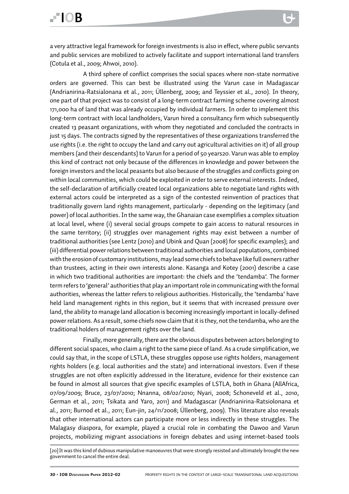A third sphere of conflict comprises the social spaces where non-state normative orders are governed. This can best be illustrated using the Varun case in Madagascar (Andrianirina-Ratsialonana et al., 2011; Üllenberg, 2009; and Teyssier et al., 2010). In theory, one part of that project was to consist of a long-term contract farming scheme covering almost 171,000 ha of land that was already occupied by individual farmers. In order to implement this long-term contract with local landholders, Varun hired a consultancy firm which subsequently created 13 peasant organizations, with whom they negotiated and concluded the contracts in just 15 days. The contracts signed by the representatives of these organizations transferred the use rights (i.e. the right to occupy the land and carry out agricultural activities on it) of all group members (and their descendants) to Varun for a period of 50 years20. Varun was able to employ this kind of contract not only because of the differences in knowledge and power between the foreign investors and the local peasants but also because of the struggles and conflicts going on within local communities, which could be exploited in order to serve external interests. Indeed, the self-declaration of artificially created local organizations able to negotiate land rights with external actors could be interpreted as a sign of the contested reinvention of practices that traditionally govern land rights management, particularly - depending on the legitimacy (and power) of local authorities. In the same way, the Ghanaian case exemplifies a complex situation at local level, where (i) several social groups compete to gain access to natural resources in the same territory; (ii) struggles over management rights may exist between a number of traditional authorities (see Lentz (2010) and Ubink and Quan (2008) for specific examples); and (iii) differential power relations between traditional authorities and local populations, combined with the erosion of customary institutions, may lead some chiefs to behave like full owners rather than trustees, acting in their own interests alone. Kasanga and Kotey (2001) describe a case in which two traditional authorities are important: the chiefs and the 'tendamba'. The former term refers to 'general' authorities that play an important role in communicating with the formal authorities, whereas the latter refers to religious authorities. Historically, the 'tendamba' have held land management rights in this region, but it seems that with increased pressure over land, the ability to manage land allocation is becoming increasingly important in locally-defined power relations. As a result, some chiefs now claim that it is they, not the tendamba, who are the traditional holders of management rights over the land.

Finally, more generally, there are the obvious disputes between actors belonging to different social spaces, who claim a right to the same piece of land. As a crude simplification, we could say that, in the scope of LSTLA, these struggles oppose use rights holders, management rights holders (e.g. local authorities and the state) and international investors. Even if these struggles are not often explicitly addressed in the literature, evidence for their existence can be found in almost all sources that give specific examples of LSTLA, both in Ghana (AllAfrica, 07/09/2009; Bruce, 23/07/2010; Nnanna, 08/02/2010; Nyari, 2008; Schoneveld et al., 2010, German et al., 2011; Tsikata and Yaro, 2011) and Madagascar (Andrianirina-Ratsiolonana et al., 2011; Burnod et al., 2011; Eun-jin, 24/11/2008; Üllenberg, 2009). This literature also reveals that other international actors can participate more or less indirectly in these struggles. The Malagasy diaspora, for example, played a crucial role in combating the Dawoo and Varun projects, mobilizing migrant associations in foreign debates and using internet-based tools

<sup>[20]</sup>It was this kind of dubious manipulative manoeuvres that were strongly resisted and ultimately brought the new government to cancel the entire deal.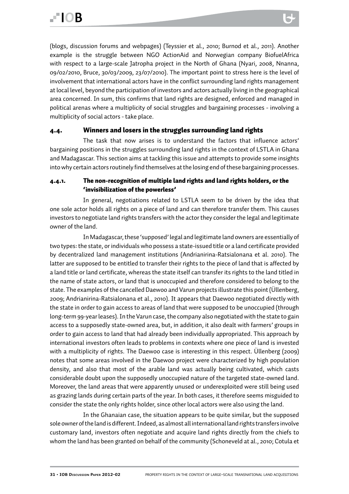(blogs, discussion forums and webpages) (Teyssier et al., 2010; Burnod et al., 2011). Another example is the struggle between NGO ActionAid and Norwegian company BiofuelAfrica with respect to a large-scale Jatropha project in the North of Ghana (Nyari, 2008, Nnanna, 09/02/2010, Bruce, 30/03/2009, 23/07/2010). The important point to stress here is the level of involvement that international actors have in the conflict surrounding land rights management at local level, beyond the participation of investors and actors actually living in the geographical area concerned. In sum, this confirms that land rights are designed, enforced and managed in political arenas where a multiplicity of social struggles and bargaining processes - involving a multiplicity of social actors - take place.

#### 4.4. Winners and losers in the struggles surrounding land rights

The task that now arises is to understand the factors that influence actors' bargaining positions in the struggles surrounding land rights in the context of LSTLA in Ghana and Madagascar. This section aims at tackling this issue and attempts to provide some insights into why certain actors routinely find themselves at the losing end of these bargaining processes.

#### 4.4.1. The non-recognition of multiple land rights and land rights holders, or the 'invisibilization of the powerless'

In general, negotiations related to LSTLA seem to be driven by the idea that one sole actor holds all rights on a piece of land and can therefore transfer them. This causes investors to negotiate land rights transfers with the actor they consider the legal and legitimate owner of the land.

In Madagascar, these 'supposed' legal and legitimate land owners are essentially of two types: the state, or individuals who possess a state-issued title or a land certificate provided by decentralized land management institutions (Andrianirina-Ratsialonana et al. 2010). The latter are supposed to be entitled to transfer their rights to the piece of land that is affected by a land title or land certificate, whereas the state itself can transfer its rights to the land titled in the name of state actors, or land that is unoccupied and therefore considered to belong to the state. The examples of the cancelled Daewoo and Varun projects illustrate this point (Üllenberg, 2009; Andrianirina-Ratsialonana et al., 2010). It appears that Daewoo negotiated directly with the state in order to gain access to areas of land that were supposed to be unoccupied (through long-term 99-year leases). In the Varun case, the company also negotiated with the state to gain access to a supposedly state-owned area, but, in addition, it also dealt with farmers' groups in order to gain access to land that had already been individually appropriated. This approach by international investors often leads to problems in contexts where one piece of land is invested with a multiplicity of rights. The Daewoo case is interesting in this respect. Üllenberg (2009) notes that some areas involved in the Daewoo project were characterized by high population density, and also that most of the arable land was actually being cultivated, which casts considerable doubt upon the supposedly unoccupied nature of the targeted state-owned land. Moreover, the land areas that were apparently unused or underexploited were still being used as grazing lands during certain parts of the year. In both cases, it therefore seems misguided to consider the state the only rights holder, since other local actors were also using the land.

In the Ghanaian case, the situation appears to be quite similar, but the supposed sole owner of the land is different. Indeed, as almost all international land rights transfers involve customary land, investors often negotiate and acquire land rights directly from the chiefs to whom the land has been granted on behalf of the community (Schoneveld at al., 2010; Cotula et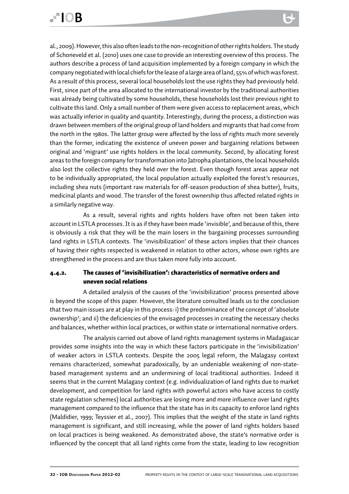al., 2009). However, this also often leads to the non-recognition of other rights holders. The study of Schoneveld et al. (2010) uses one case to provide an interesting overview of this process. The authors describe a process of land acquisition implemented by a foreign company in which the company negotiated with local chiefs for the lease of a large area of land, 55% of which was forest. As a result of this process, several local households lost the use rights they had previously held. First, since part of the area allocated to the international investor by the traditional authorities was already being cultivated by some households, these households lost their previous right to cultivate this land. Only a small number of them were given access to replacement areas, which was actually inferior in quality and quantity. Interestingly, during the process, a distinction was drawn between members of the original group of land holders and migrants that had come from the north in the 1980s. The latter group were affected by the loss of rights much more severely than the former, indicating the existence of uneven power and bargaining relations between original and 'migrant' use rights holders in the local community. Second, by allocating forest areas to the foreign company for transformation into Jatropha plantations, the local households also lost the collective rights they held over the forest. Even though forest areas appear not to be individually appropriated, the local population actually exploited the forest's resources, including shea nuts (important raw materials for off-season production of shea butter), fruits, medicinal plants and wood. The transfer of the forest ownership thus affected related rights in a similarly negative way.

As a result, several rights and rights holders have often not been taken into account in LSTLA processes. It is as if they have been made 'invisible', and because of this, there is obviously a risk that they will be the main losers in the bargaining processes surrounding land rights in LSTLA contexts. The 'invisibilization' of these actors implies that their chances of having their rights respected is weakened in relation to other actors, whose own rights are strengthened in the process and are thus taken more fully into account.

#### 4.4.2. The causes of 'invisibilization': characteristics of normative orders and uneven social relations

A detailed analysis of the causes of the 'invisibilization' process presented above is beyond the scope of this paper. However, the literature consulted leads us to the conclusion that two main issues are at play in this process: i) the predominance of the concept of 'absolute ownership'; and ii) the deficiencies of the envisaged processes in creating the necessary checks and balances, whether within local practices, or within state or international normative orders.

The analysis carried out above of land rights management systems in Madagascar provides some insights into the way in which these factors participate in the 'invisibilization' of weaker actors in LSTLA contexts. Despite the 2005 legal reform, the Malagasy context remains characterized, somewhat paradoxically, by an undeniable weakening of non-statebased management systems and an undermining of local traditional authorities. Indeed it seems that in the current Malagasy context (e.g. individualization of land rights due to market development, and competition for land rights with powerful actors who have access to costly state regulation schemes) local authorities are losing more and more influence over land rights management compared to the influence that the state has in its capacity to enforce land rights (Maldidier, 1999; Teyssier et al., 2007). This implies that the weight of the state in land rights management is significant, and still increasing, while the power of land rights holders based on local practices is being weakened. As demonstrated above, the state's normative order is influenced by the concept that all land rights come from the state, leading to low recognition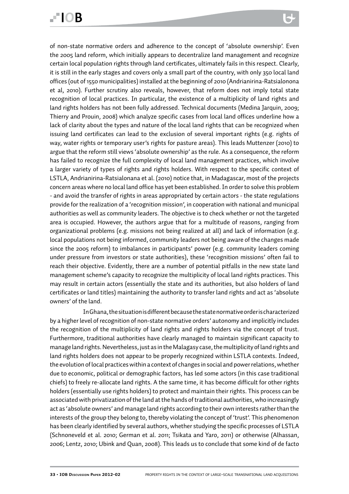# FIOR

of non-state normative orders and adherence to the concept of 'absolute ownership'. Even the 2005 land reform, which initially appears to decentralize land management and recognize certain local population rights through land certificates, ultimately fails in this respect. Clearly, it is still in the early stages and covers only a small part of the country, with only 350 local land offices (out of 1550 municipalities) installed at the beginning of 2010 (Andrianirina-Ratsialonona et al, 2010). Further scrutiny also reveals, however, that reform does not imply total state recognition of local practices. In particular, the existence of a multiplicity of land rights and land rights holders has not been fully addressed. Technical documents (Medina Jarquin, 2009; Thierry and Prouin, 2008) which analyze specific cases from local land offices underline how a lack of clarity about the types and nature of the local land rights that can be recognized when issuing land certificates can lead to the exclusion of several important rights (e.g. rights of way, water rights or temporary user's rights for pasture areas). This leads Muttenzer (2010) to argue that the reform still views 'absolute ownership' as the rule. As a consequence, the reform has failed to recognize the full complexity of local land management practices, which involve a larger variety of types of rights and rights holders. With respect to the specific context of LSTLA, Andrianirina-Ratsialonana et al. (2010) notice that, in Madagascar, most of the projects concern areas where no local land office has yet been established. In order to solve this problem - and avoid the transfer of rights in areas appropriated by certain actors - the state regulations provide for the realization of a 'recognition mission', in cooperation with national and municipal authorities as well as community leaders. The objective is to check whether or not the targeted area is occupied. However, the authors argue that for a multitude of reasons, ranging from organizational problems (e.g. missions not being realized at all) and lack of information (e.g. local populations not being informed, community leaders not being aware of the changes made since the 2005 reform) to imbalances in participants' power (e.g. community leaders coming under pressure from investors or state authorities), these 'recognition missions' often fail to reach their objective. Evidently, there are a number of potential pitfalls in the new state land management scheme's capacity to recognize the multiplicity of local land rights practices. This may result in certain actors (essentially the state and its authorities, but also holders of land certificates or land titles) maintaining the authority to transfer land rights and act as 'absolute owners' of the land.

In Ghana, the situation is different because the state normative order is characterized by a higher level of recognition of non-state normative orders' autonomy and implicitly includes the recognition of the multiplicity of land rights and rights holders via the concept of trust. Furthermore, traditional authorities have clearly managed to maintain significant capacity to manage land rights. Nevertheless, just as in the Malagasy case, the multiplicity of land rights and land rights holders does not appear to be properly recognized within LSTLA contexts. Indeed, the evolution of local practices within a context of changes in social and power relations, whether due to economic, political or demographic factors, has led some actors (in this case traditional chiefs) to freely re-allocate land rights. A the same time, it has become difficult for other rights holders (essentially use rights holders) to protect and maintain their rights. This process can be associated with privatization of the land at the hands of traditional authorities, who increasingly act as 'absolute owners' and manage land rights according to their own interests rather than the interests of the group they belong to, thereby violating the concept of 'trust'. This phenomenon has been clearly identified by several authors, whether studying the specific processes of LSTLA (Schnoneveld et al. 2010; German et al. 2011; Tsikata and Yaro, 2011) or otherwise (Alhassan, 2006; Lentz, 2010; Ubink and Quan, 2008). This leads us to conclude that some kind of de facto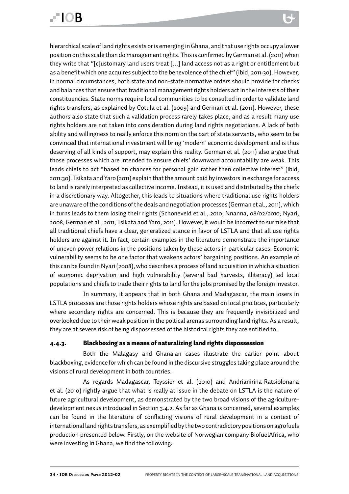# FIOR

hierarchical scale of land rights exists or is emerging in Ghana, and that use rights occupy a lower position on this scale than do management rights. This is confirmed by German et al. (2011) when they write that "[c]ustomary land users treat […] land access not as a right or entitlement but as a benefit which one acquires subject to the benevolence of the chief" (ibid, 2011:30). However, in normal circumstances, both state and non-state normative orders should provide for checks and balances that ensure that traditional management rights holders act in the interests of their constituencies. State norms require local communities to be consulted in order to validate land rights transfers, as explained by Cotula et al. (2009) and German et al. (2011). However, these authors also state that such a validation process rarely takes place, and as a result many use rights holders are not taken into consideration during land rights negotiations. A lack of both ability and willingness to really enforce this norm on the part of state servants, who seem to be convinced that international investment will bring 'modern' economic development and is thus deserving of all kinds of support, may explain this reality. German et al. (2011) also argue that those processes which are intended to ensure chiefs' downward accountability are weak. This leads chiefs to act "based on chances for personal gain rather then collective interest" (ibid, 2011:30). Tsikata and Yaro (2011) explain that the amount paid by investors in exchange for access to land is rarely interpreted as collective income. Instead, it is used and distributed by the chiefs in a discretionary way. Altogether, this leads to situations where traditional use rights holders are unaware of the conditions of the deals and negotiation processes (German et al., 2011), which in turns leads to them losing their rights (Schoneveld et al., 2010; Nnanna, 08/02/2010; Nyari, 2008, German et al., 2011; Tsikata and Yaro, 2011). However, it would be incorrect to surmise that all traditional chiefs have a clear, generalized stance in favor of LSTLA and that all use rights holders are against it. In fact, certain examples in the literature demonstrate the importance of uneven power relations in the positions taken by these actors in particular cases. Economic vulnerability seems to be one factor that weakens actors' bargaining positions. An example of this can be found in Nyari (2008), who describes a process of land acquisition in which a situation of economic deprivation and high vulnerability (several bad harvests, illiteracy) led local populations and chiefs to trade their rights to land for the jobs promised by the foreign investor.

In summary, it appears that in both Ghana and Madagascar, the main losers in LSTLA processes are those rights holders whose rights are based on local practices, particularly where secondary rights are concerned. This is because they are frequently invisibilized and overlooked due to their weak position in the poltical arenas surrounding land rights. As a result, they are at severe risk of being dispossessed of the historical rights they are entitled to.

#### 4.4.3. Blackboxing as a means of naturalizing land rights dispossession

Both the Malagasy and Ghanaian cases illustrate the earlier point about blackboxing, evidence for which can be found in the discursive struggles taking place around the visions of rural development in both countries.

As regards Madagascar, Teyssier et al. (2010) and Andrianirina-Ratsiolonana et al. (2010) rightly argue that what is really at issue in the debate on LSTLA is the nature of future agricultural development, as demonstrated by the two broad visions of the agriculturedevelopment nexus introduced in Section 3.4.2. As far as Ghana is concerned, several examples can be found in the literature of conflicting visions of rural development in a context of international land rights transfers, as exemplified by the two contradictory positions on agrofuels production presented below. Firstly, on the website of Norwegian company BiofuelAfrica, who were investing in Ghana, we find the following: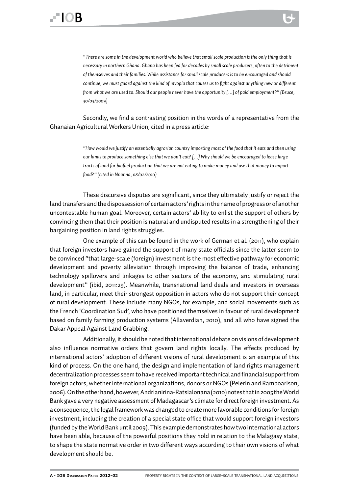

Secondly, we find a contrasting position in the words of a representative from the Ghanaian Agricultural Workers Union, cited in a press article:

> *"How would we justify an essentially agrarian country importing most of the food that it eats and then using our lands to produce something else that we don't eat? […] Why should we be encouraged to lease large tracts of land for biofuel production that we are not eating to make money and use that money to import food?" (cited in Nnanna, 08/02/2010)*

These discursive disputes are significant, since they ultimately justify or reject the land transfers and the dispossession of certain actors' rights in the name of progress or of another uncontestable human goal. Moreover, certain actors' ability to enlist the support of others by convincing them that their position is natural and undisputed results in a strengthening of their bargaining position in land rights struggles.

One example of this can be found in the work of German et al. (2011), who explain that foreign investors have gained the support of many state officials since the latter seem to be convinced "that large-scale (foreign) investment is the most effective pathway for economic development and poverty alleviation through improving the balance of trade, enhancing technology spillovers and linkages to other sectors of the economy, and stimulating rural development" (ibid, 2011:29). Meanwhile, transnational land deals and investors in overseas land, in particular, meet their strongest opposition in actors who do not support their concept of rural development. These include many NGOs, for example, and social movements such as the French 'Coordination Sud', who have positioned themselves in favour of rural development based on family farming production systems (Allaverdian, 2010), and all who have signed the Dakar Appeal Against Land Grabbing.

Additionally, it should be noted that international debate on visions of development also influence normative orders that govern land rights locally. The effects produced by international actors' adoption of different visions of rural development is an example of this kind of process. On the one hand, the design and implementation of land rights management decentralization processes seem to have received important technical and financial support from foreign actors, whether international organizations, donors or NGOs (Pelerin and Ramboarison, 2006). On the other hand, however, Andrianirina-Ratsialonana (2010) notes that in 2005 the World Bank gave a very negative assessment of Madagascar's climate for direct foreign investment. As a consequence, the legal framework was changed to create more favorable conditions for foreign investment, including the creation of a special state office that would support foreign investors (funded by the World Bank until 2009). This example demonstrates how two international actors have been able, because of the powerful positions they hold in relation to the Malagasy state, to shape the state normative order in two different ways according to their own visions of what development should be.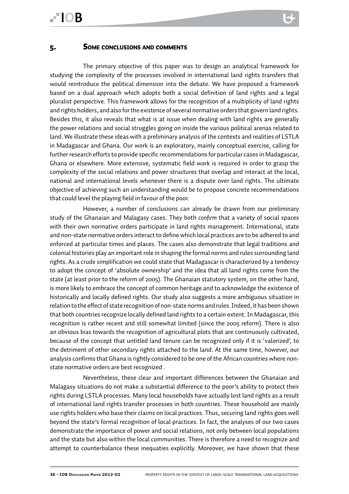#### 5. Some conclusions and comments

The primary objective of this paper was to design an analytical framework for studying the complexity of the processes involved in international land rights transfers that would reintroduce the political dimension into the debate. We have proposed a framework based on a dual approach which adopts both a social definition of land rights and a legal pluralist perspective. This framework allows for the recognition of a multiplicity of land rights and rights holders, and also for the existence of several normative orders that govern land rights. Besides this, it also reveals that what is at issue when dealing with land rights are generally the power relations and social struggles going on inside the various political arenas related to land. We illustrate these ideas with a preliminary analysis of the contexts and realities of LSTLA in Madagascar and Ghana. Our work is an exploratory, mainly conceptual exercise, calling for further research efforts to provide specific recommendations for particular cases in Madagascar, Ghana or elsewhere. More extensive, systematic field work is required in order to grasp the complexity of the social relations and power structures that overlap and interact at the local, national and international levels whenever there is a dispute over land rights. The ultimate objective of achieving such an understanding would be to propose concrete recommendations that could level the playing field in favour of the poor.

However, a number of conclusions can already be drawn from our preliminary study of the Ghanaian and Malagasy cases. They both *confirm* that a variety of social spaces with their own normative orders participate in land rights management. International, state and non-state normative orders interact to define which local practices are to be adhered to and enforced at particular times and places. The cases also demonstrate that legal traditions and colonial histories play an important role in shaping the formal norms and rules surrounding land rights. As a crude simplification we could state that Madagascar is characterized by a tendency to adopt the concept of 'absolute ownership' and the idea that all land rights come from the state (at least prior to the reform of 2005). The Ghanaian statutory system, on the other hand, is more likely to embrace the concept of common heritage and to acknowledge the existence of historically and locally defined rights. Our study also suggests a more ambiguous situation in relation to the effect of state recognition of non-state norms and rules*.* Indeed, it has been shown that both countries recognize locally defined land rights to a certain extent. In Madagascar, this recognition is rather recent and still somewhat limited (since the 2005 reform). There is also an obvious bias towards the recognition of agricultural plots that are continuously cultivated, because of the concept that untitled land tenure can be recognized only if it is 'valorized', to the detriment of other secondary rights attached to the land. At the same time, however, our analysis confirms that Ghana is rightly considered to be one of the African countries where nonstate normative orders are best recognized *.* 

Nevertheless, these clear and important differences between the Ghanaian and Malagasy situations do not make a substantial difference to the poor's ability to protect their rights during LSTLA processes. Many local households have actually lost land rights as a result of international land rights transfer processes in both countries. These household are mainly use rights holders who base their claims on local practices. Thus, securing land rights goes well beyond the state's formal recognition of local practices. In fact, the analyses of our two cases demonstrate the importance of power and social relations, not only between local populations and the state but also within the local communities. There is therefore a need to recognize and attempt to counterbalance these inequaties explicitly. Moreover, we have shown that these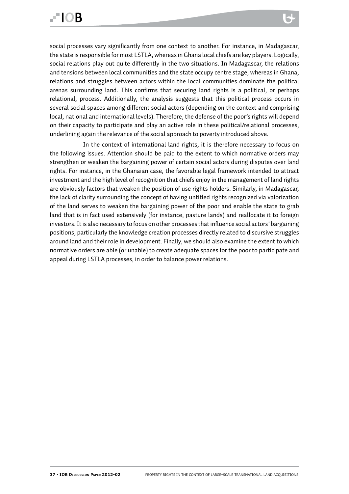social processes vary significantly from one context to another. For instance, in Madagascar, the state is responsible for most LSTLA, whereas in Ghana local chiefs are key players. Logically, social relations play out quite differently in the two situations. In Madagascar, the relations and tensions between local communities and the state occupy centre stage, whereas in Ghana, relations and struggles between actors within the local communities dominate the political arenas surrounding land. This confirms that securing land rights is a political, or perhaps relational, process. Additionally, the analysis suggests that this political process occurs in several social spaces among different social actors (depending on the context and comprising local, national and international levels). Therefore, the defense of the poor's rights will depend on their capacity to participate and play an active role in these political/relational processes, underlining again the relevance of the social approach to poverty introduced above.

In the context of international land rights, it is therefore necessary to focus on the following issues. Attention should be paid to the extent to which normative orders may strengthen or weaken the bargaining power of certain social actors during disputes over land rights. For instance, in the Ghanaian case, the favorable legal framework intended to attract investment and the high level of recognition that chiefs enjoy in the management of land rights are obviously factors that weaken the position of use rights holders. Similarly, in Madagascar, the lack of clarity surrounding the concept of having untitled rights recognized via valorization of the land serves to weaken the bargaining power of the poor and enable the state to grab land that is in fact used extensively (for instance, pasture lands) and reallocate it to foreign investors. It is also necessary to focus on other processes that influence social actors' bargaining positions, particularly the knowledge creation processes directly related to discursive struggles around land and their role in development. Finally, we should also examine the extent to which normative orders are able (or unable) to create adequate spaces for the poor to participate and appeal during LSTLA processes, in order to balance power relations.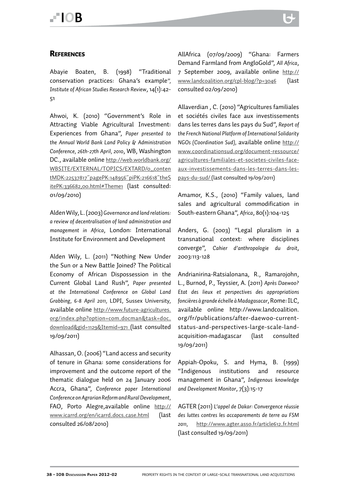#### **REFERENCES**

Abayie Boaten, B. (1998) "Traditional conservation practices: Ghana's example*", Institute of African Studies Research Review*, 14(1):42- 51

Ahwoi, K. (2010) "Government's Role in Attracting Viable Agricultural Investment: Experiences from Ghana", *Paper presented to the Annual World Bank Land Policy & Administration Conference, 26th-27th April, 2010*, WB, Washington DC., available online http://web.worldbank.org/ WBSITE/EXTERNAL/TOPICS/EXTARD/0,,conten tMDK:22537817~pagePK:148956~piPK:216618~theS itePK:336682,00.html#Theme1 (last consulted: 01/09/2010)

Alden Wily, L. (2003) *Governance and land relations: a review of decentralisation of land administration and management in Africa*, London: International Institute for Environment and Development

Alden Wily, L. (2011) "Nothing New Under the Sun or a New Battle Joined? The Political Economy of African Dispossession in the Current Global Land Rush", *Paper presented at the International Conference on Global Land Grabbing, 6-8 April 2011,* LDPI, Sussex University, available online http://www.future-agricultures. org/index.php?option=com\_docman&task=doc\_ download&gid=1129&Itemid=971 (last consulted 19/09/2011)

Alhassan, O. (2006) "Land access and security of tenure in Ghana: some considerations for improvement and the outcome report of the thematic dialogue held on 24 January 2006 Accra, Ghana", *Conference paper International Conference on Agrarian Reform and Rural Development,* FAO, Porto Alegre,available online http:// www.icarrd.org/en/icarrd\_docs\_case.html (last consulted 26/08/2010)

AllAfrica (07/09/2009) "Ghana: Farmers Demand Farmland from AngloGold", *All Africa*, 7 September 2009, available online http:// www.landcoalition.org/cpl-blog/?p=3046 (last consulted 02/09/2010)

Allaverdian , C. (2010) "Agricultures familiales et sociétés civiles face aux investissements dans les terres dans les pays du Sud", *Report of the French National Platform of International Solidarity NGOs (Coordination Sud),* available online http:// www.coordinationsud.org/document-ressource/ agricultures-familiales-et-societes-civiles-faceaux-investissements-dans-les-terres-dans-lespays-du-sud/ (last consulted 19/09/2011)

Amamor, K.S., (2010) "Family values, land sales and agricultural commodification in South-eastern Ghana", *Africa*, 80(1):104-125

Anders, G. (2003) "Legal pluralism in a transnational context: where disciplines converge", *Cahier d'anthropologie du droit*, 2003:113-128

Andrianirina-Ratsialonana, R., Ramarojohn, L., Burnod, P., Teyssier, A. (2011) *Après Daewoo? Etat des lieux et perspectives des appropriations foncières à grande échelle à Madagasacar*, Rome: ILC, available online http://www.landcoalition. org/fr/publications/after-daewoo-currentstatus-and-perspectives-large-scale-landacquisition-madagascar (last consulted 19/09/2011)

Appiah-Opoku, S. and Hyma, B. (1999) "Indigenous institutions and resource management in Ghana", *Indigenous knowledge and Development Monitor*, 7(3):15-17

AGTER (2011) *L'appel de Dakar: Convergence réussie des luttes contres les accaparements de terre au FSM 2011,* http://www.agter.asso.fr/article612\_fr.html (last consulted 19/09/2011)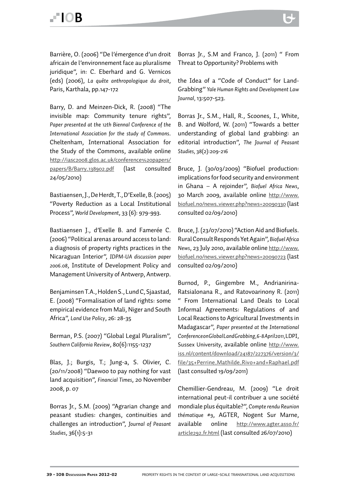Barrière, O. (2006) "De l'émergence d'un droit africain de l'environnement face au pluralisme juridique", in: C. Eberhard and G. Vernicos (eds) (2006), *La quête anthropologique du droit*, Paris, Karthala, pp.147-172

Barry, D. and Meinzen-Dick, R. (2008) "The invisible map: Community tenure rights", *Paper presented at the 12th Biennal Conference of the International Association for the study of Commons*. Cheltenham, International Association for the Study of the Commons, available online http://iasc2008.glos.ac.uk/conference%20papers/ papers/B/Barry\_138902.pdf (last consulted 24/05/2010)

Bastiaensen, J., De Herdt, T., D'Exelle, B. (2005) "Poverty Reduction as a Local Institutional Process", *World Development*, 33 (6): 979-993.

Bastiaensen J., d'Exelle B. and Famerée C. (2006) "Political arenas around access to land: a diagnosis of property rights practices in the Nicaraguan Interior", *IDPM-UA discussion paper 2006.08*, Institute of Development Policy and Management University of Antwerp, Antwerp.

Benjaminsen T.A., Holden S., Lund C, Sjaastad, E. (2008) "Formalisation of land rights: some empirical evidence from Mali, Niger and South Africa", *Land Use Policy*, 26: 28-35

Berman, P.S. (2007) "Global Legal Pluralism", *Southern California Review*, 80(6):1155-1237

Blas, J.; Burgis, T.; Jung-a, S. Olivier, C. (20/11/2008) "Daewoo to pay nothing for vast land acquisition", *Financial Times*, 20 November 2008, p. 07

Borras Jr., S.M. (2009) "Agrarian change and peasant studies: changes, continuities and challenges an introduction", *Journal of Peasant Studies*, 36(1):5-31

Borras Jr., S.M and Franco, J. (2011) " From Threat to Opportunity? Problems with

the Idea of a "Code of Conduct" for Land-Grabbing" *Yale Human Rights and Development Law Journal,* 13:507-523.

Borras Jr., S.M., Hall, R., Scoones, I., White, B. and Wolford, W. (2011) "Towards a better understanding of global land grabbing: an editorial introduction", *The Journal of Peasant Studies,* 38(2):209-216

Bruce, J. (30/03/2009) "Biofuel production: implications for food security and environment in Ghana – A rejoinder", *Biofuel Africa News*, 30 March 2009, available online http://www. biofuel.no/news\_viewer.php?news=20090330 (last consulted 02/09/2010)

Bruce, J. (23/07/2010) "Action Aid and Biofuels. Rural Consult Responds Yet Again", *Biofuel Africa News*, 23 July 2010, available online http://www. biofuel.no/news\_viewer.php?news=20090723 (last consulted 02/09/2010)

Burnod, P., Gingembre M., Andrianirina-Ratsialonana R., and Ratovoarinony R. (2011) " From International Land Deals to Local Informal Agreements: Regulations of and Local Reactions to Agricultural Investments in Madagascar", *Paper presented at the International Conference on Global Land Grabbing, 6-8 April 2011,* LDPI, Sussex University, available online http://www. iss.nl/content/download/24187/227376/version/3/ file/35+Perrine\_Mathilde\_Rivo+and+Raphael.pdf (last consulted 19/09/2011)

Chemillier-Gendreau, M. (2009) "Le droit international peut-il contribuer a une société mondiale plus équitable?", *Compte rendu Reunion thématique #9*, AGTER, Nogent Sur Marne, available online http://www.agter.asso.fr/ article292\_fr.html (last consulted 26/07/2010)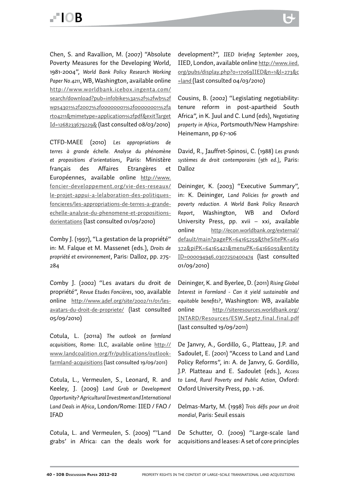Chen, S. and Ravallion, M. (2007) "Absolute Poverty Measures for the Developing World, 1981-2004", *World Bank Policy Research Working Paper No.4211*, WB, Washington, available online http://www.worldbank.icebox.ingenta.com/ search/download?pub=infobike%3a%2f%2fwb%2f wps4301%2f2007%2f00000001%2f00000001%2fa rt04211&mimetype=application%2fpdf&exitTarget Id=1268233679229& (last consulted 08/03/2010)

CTFD-MAEE (2010) *Les appropriations de terres à grande échelle. Analyse du phénomène et propositions d'orientations*, Paris: Ministère français des Affaires Etrangères et Européennes, available online http://www. foncier-developpement.org/vie-des-reseaux/ le-projet-appui-a-lelaboration-des-politiquesfoncieres/les-appropriations-de-terres-a-grandeechelle-analyse-du-phenomene-et-propositionsdorientations (last consulted 01/09/2010)

Comby J. (1997), "La gestation de la propriété" in: M. Falque et M. Massenet (eds.), *Droits de propriété et environnement*, Paris: Dalloz, pp. 275- 284

Comby J. (2002) "Les avatars du droit de propriété", *Revue Etudes Foncières*, 100, available online http://www.adef.org/site/2002/11/01/lesavatars-du-droit-de-propriete/ (last consulted 05/09/2010)

Cotula, L. (2011a) *The outlook on farmland acquisitions,* Rome: ILC, available online http:// www.landcoalition.org/fr/publications/outlookfarmland-acquisitions (last consulted 19/09/2011)

Cotula, L., Vermeulen, S., Leonard, R. and Keeley, J. (2009) *Land Grab or Development Opportunity? Agricultural Investment and International Land Deals in Africa*, London/Rome: IIED / FAO / IFAD

Cotula, L. and Vermeulen, S. (2009) "'Land grabs' in Africa: can the deals work for

development?", *IIED briefing September 2009*, IIED, London, available online http://www.iied. org/pubs/display.php?o=17069IIED&n=1&l=273&c =land (last consulted 04/03/2010)

Cousins, B. (2002) "Legislating negotiability: tenure reform in post-apartheid South Africa", in K. Juul and C. Lund (eds), *Negotiating property in Africa*, Portsmouth/New Hampshire: Heinemann, pp 67-106

David, R., Jauffret-Spinosi, C. (1988) *Les grands systèmes de droit contemporains (9th ed.)*, Paris: Dalloz

Deininger, K. (2003) "Executive Summary", in: K. Deininger, *Land Policies for growth and poverty reduction. A World Bank Policy Research Report*, Washington, WB and Oxford University Press, pp. xvii – xxi, available online http://econ.worldbank.org/external/ default/main?pagePK=64165259&theSitePK=469 372&piPK=64165421&menuPK=64166093&entity ID=000094946\_0307250400474 (last consulted 01/09/2010)

Deininger, K. and Byerlee, D. (2011) *Rising Global Interest in Farmland - Can it yield sustainable and equitable benefits?*, Washington: WB, available online http://siteresources.worldbank.org/ INTARD/Resources/ESW\_Sept7\_final\_final.pdf (last consulted 19/09/2011)

De Janvry, A., Gordillo, G., Platteau, J.P. and Sadoulet, E. (2001) "Access to Land and Land Policy Reforms", in: A. de Janvry, G. Gordillo, J.P. Platteau and E. Sadoulet (eds.), *Access to Land, Rural Poverty and Public Action,* Oxford: Oxford University Press, pp. 1-26.

Delmas-Marty, M. (1998) *Trois défis pour un droit mondial,* Paris: Seuil essais

De Schutter, O. (2009) "Large-scale land acquisitions and leases: A set of core principles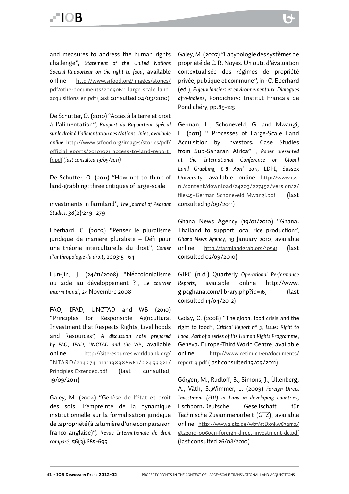and measures to address the human rights challenge", *Statement of the United Nations Special Rapporteur on the right to food*, available online http://www.srfood.org/images/stories/ pdf/otherdocuments/20090611\_large-scale-landacquisitions\_en.pdf (last consulted 04/03/2010)

De Schutter, O. (2010) "Accès à la terre et droit à l'alimentation", *Rapport du Rapporteur Spécial sur le droit à l'alimentation des Nations Unies, available online* http://www.srfood.org/images/stories/pdf/ officialreports/20101021\_access-to-land-report\_ fr.pdf *(last consulted 19/09/2011)* 

De Schutter, O. (2011) "How not to think of land-grabbing: three critiques of large-scale

investments in farmland", *The Journal of Peasant Studies,* 38(2):249–279

Eberhard, C. (2003) "Penser le pluralisme juridique de manière pluraliste – Défi pour une théorie interculturelle du droit", *Cahier d'anthropologie du droit*, 2003:51-64

Eun-jin, J. (24/11/2008) "Néocolonialisme ou aide au développement ?", *Le courrier international*, 24 Novembre 2008

FAO, IFAD, UNCTAD and WB (2010) "Principles for Responsible Agricultural Investment that Respects Rights, Livelihoods and Resources*", A discussion note prepared by FAO, IFAD, UNCTAD and the WB*, available online http://siteresources.worldbank.org/ INTARD/214574-1111138388661 /22453321 / Principles\_Extended.pdf (last consulted, 19/09/2011)

Galey, M. (2004) "Genèse de l'état et droit des sols. L'empreinte de la dynamique institutionnelle sur la formalisation juridique de la propriété (à la lumière d'une comparaison franco-anglaise)", *Revue Internationale de droit comparé*, 56(3):685-699

Galey, M. (2007) "La typologie des systèmes de propriété de C. R. Noyes. Un outil d'évaluation contextualisée des régimes de propriété privée, publique et commune", in : C. Eberhard (ed.), *Enjeux fonciers et environnementaux. Dialogues afro-indiens*, Pondichery: Institut Français de Pondichéry, pp.89-125

German, L., Schoneveld, G. and Mwangi, E. (2011) " Processes of Large-Scale Land Acquisition by Investors: Case Studies from Sub-Saharan Africa" , *Paper presented at the International Conference on Global Land Grabbing, 6-8 April 2011,* LDPI, Sussex University, available online http://www.iss. nl/content/download/24203/227492/version/2/ file/45+German\_Schoneveld\_Mwangi.pdf (last consulted 19/09/2011)

Ghana News Agency (19/01/2010) "Ghana: Thailand to support local rice production", *Ghana News Agency*, 19 January 2010, available online http://farmlandgrab.org/10541 (last consulted 02/09/2010)

GIPC (n.d.) Quarterly *Operational Performance Reports,* available online http://www. gipcghana.com/library.php?id=16, (last consulted 14/04/2012)

Golay, C. (2008) "The global food crisis and the right to food", *Critical Report n° 3, Issue: Right to Food, Part of a series of the Human Rights Programme,*  Geneva: Europe-Third World Centre, available online http://www.cetim.ch/en/documents/ report\_3.pdf (last consulted 19/09/2011)

Görgen, M., Rudloff, B., Simons, J., Üllenberg, A., Väth, S.,Wimmer, L. (2009) *Foreign Direct Investment (FDI) in Land in developing countries*, Eschborn:Deutsche Gesellschaft für Technische Zusammenarbeit (GTZ), available online http://www2.gtz.de/wbf/4tDx9kw63gma/ gtz2010-0060en-foreign-direct-investment-dc.pdf (last consulted 26/08/2010)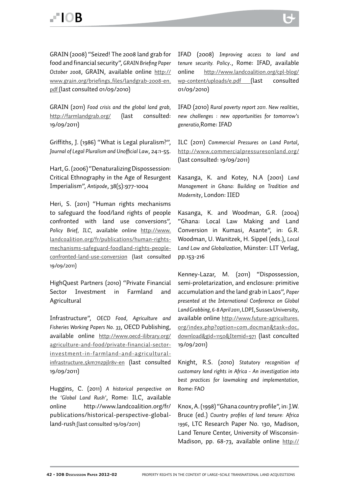GRAIN (2008) "Seized! The 2008 land grab for food and financial security", *GRAIN Briefing Paper October 2008*, GRAIN, available online http:// www.grain.org/briefings\_files/landgrab-2008-en. pdf (last consulted 01/09/2010)

GRAIN (2011) *Food crisis and the global land grab,* http://farmlandgrab.org/ (last consulted: 19/09/2011)

Griffiths, J. (1986) "What is Legal pluralism?", *Journal of Legal Pluralism and Unofficial Law*, 24:1-55.

Hart, G. (2006) "Denaturalizing Dispossession: Critical Ethnography in the Age of Resurgent Imperialism", *Antipode*, 38(5):977-1004

Heri, S. (2011) "Human rights mechanisms to safeguard the food/land rights of people confronted with land use conversions", *Policy Brief, ILC,* available online http://www. landcoalition.org/fr/publications/human-rightsmechanisms-safeguard-foodland-rights-peopleconfronted-land-use-conversion (last consulted 19/09/2011)

HighQuest Partners (2010) "Private Financial Sector Investment in Farmland and Agricultural

Infrastructure", *OECD Food, Agriculture and Fisheries Working Papers No. 33*, OECD Publishing, available online http://www.oecd-ilibrary.org/ agriculture-and-food/private-financial-sectorinvestment-in-farmland-and-agriculturalinfrastructure\_5km7nzpjlr8v-en (last consulted 19/09/2011)

Huggins, C. (2011) *A historical perspective on the 'Global Land Rush'*, Rome: ILC, available online http://www.landcoalition.org/fr/ publications/historical-perspective-globalland-rush (last consulted 19/09/2011)

IFAD (2008) *Improving access to land and tenure security. Policy*., Rome: IFAD, available online http://www.landcoalition.org/cpl-blog/ wp-content/uploads/e.pdf (last consulted 01/09/2010)

IFAD (2010) *Rural poverty report 2011. New realities, new challenges : new opportunities for tomorrow's generatio,*Rome: IFAD

ILC (2011) *Commercial Pressures on Land Portal*, http://www.commercialpressuresonland.org/ (last consulted: 19/09/2011)

Kasanga, K. and Kotey, N.A (2001) *Land Management in Ghana: Building on Tradition and Modernity*, London: IIED

Kasanga, K. and Woodman, G.R. (2004) "Ghana: Local Law Making and Land Conversion in Kumasi, Asante", in: G.R. Woodman, U. Wanitzek, H. Sippel (eds.), *Local Land Law and Globalization,* Münster: LIT Verlag, pp.153-216

Kenney-Lazar, M. (2011) "Dispossession, semi-proletarization, and enclosure: primitive accumulation and the land grab in Laos", *Paper presented at the International Conference on Global Land Grabbing, 6-8 April 2011,* LDPI, Sussex University, available online http://www.future-agricultures. org/index.php?option=com\_docman&task=doc\_ download&gid=1150&Itemid=971 (last conculted 19/09/2011)

Knight, R.S. (2010) *Statutory recognition of customary land rights in Africa - An investigation into best practices for lawmaking and implementation,*  Rome: FAO

Knox, A. (1998) "Ghana country profile", in: J.W. Bruce (ed.) *Country profiles of land tenure: Africa 1996*, LTC Research Paper No. 130, Madison, Land Tenure Center, University of Wisconsin-Madison, pp. 68-73, available online http://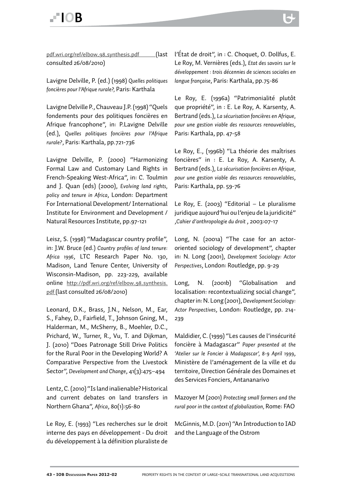Lavigne Delville, P. (ed.) (1998) *Quelles politiques foncières pour l'Afrique rurale?,* Paris: Karthala

Lavigne Delville P., Chauveau J.P. (1998) "Quels fondements pour des politiques foncières en Afrique francophone", in: P.Lavigne Delville (ed.), *Quelles politiques foncières pour l'Afrique rurale?*, Paris: Karthala, pp.721-736

Lavigne Delville, P. (2000) "Harmonizing Formal Law and Customary Land Rights in French-Speaking West-Africa", in: C. Toulmin and J. Quan (eds) (2000), *Evolving land rights, policy and tenure in Africa*, London: Department For International Development/ International Institute for Environment and Development / Natural Resources Institute, pp.97-121

Leisz, S. (1998) "Madagascar country profile", in: J.W. Bruce (ed.) *Country profiles of land tenure: Africa 1996*, LTC Research Paper No. 130, Madison, Land Tenure Center, University of Wisconsin-Madison, pp. 223-229, available online http://pdf.wri.org/ref/elbow\_98\_synthesis. pdf (last consulted 26/08/2010)

Leonard, D.K., Brass, J.N., Nelson, M., Ear, S., Fahey, D., Fairfield, T., Johnson Gning, M., Halderman, M., McSherry, B., Moehler, D.C., Prichard, W., Turner, R., Vu, T. and Dijkman, J. (2010) "Does Patronage Still Drive Politics for the Rural Poor in the Developing World? A Comparative Perspective from the Livestock Sector", *Development and Change*, 41(3):475–494

Lentz, C. (2010) "Is land inalienable? Historical and current debates on land transfers in Northern Ghana", *Africa*, 80(1):56-80

Le Roy, E. (1993) "Les recherches sur le droit interne des pays en développement - Du droit du développement à la définition pluraliste de

l'État de droit", in : C. Choquet, O. Dollfus, E. Le Roy, M. Vernières (eds.), *Etat des savoirs sur le développement : trois décennies de sciences sociales en langue française*, Paris: Karthala, pp.75-86

> Le Roy, E. (1996a) "Patrimonialité plutôt que propriété", in : E. Le Roy, A. Karsenty, A. Bertrand (eds.), *La sécurisation foncières en Afrique, pour une gestion viable des ressources renouvelables*, Paris: Karthala, pp. 47-58

> Le Roy, E., (1996b) "La théorie des maîtrises foncières" in : E. Le Roy, A. Karsenty, A. Bertrand (eds.), *La sécurisation foncières en Afrique, pour une gestion viable des ressources renouvelables*, Paris: Karthala, pp. 59-76

> Le Roy, E. (2003) "Editorial – Le pluralisme juridique aujourd'hui ou l'enjeu de la juridicité" ,*Cahier d'anthropologie du droit* , 2003:07-17

> Long, N. (2001a) "The case for an actororiented sociology of development", chapter in: N. Long (2001), *Development Sociology: Actor Perspectives*, London: Routledge, pp. 9-29

> Long, N. (2001b) "Globalisation and localisation: recontextualizing social change", chapter in: N. Long (2001), *Development Sociology: Actor Perspectives*, London: Routledge, pp. 214- 239

> Maldidier, C. (1999) "Les causes de l'insécurité foncière à Madagascar" *Paper presented at the 'Atelier sur le Foncier à Madagascar', 8-9 April 1999*, Ministère de l'aménagement de la ville et du territoire, Direction Générale des Domaines et des Services Fonciers, Antananarivo

> Mazoyer M (2001) *Protecting small farmers and the rural poor in the context of globalization,* Rome: FAO

> McGinnis, M.D. (2011) "An Introduction to IAD and the Language of the Ostrom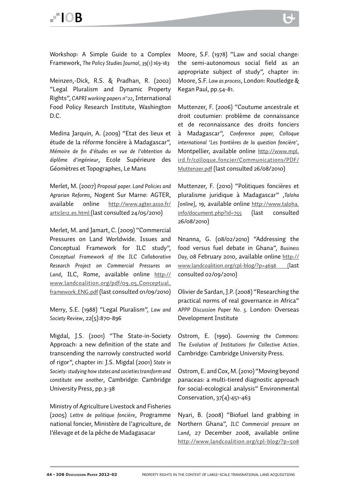Workshop: A Simple Guide to a Complex Framework, *The Policy Studies Journal, 39(1):169-183*

Meinzen,-Dick, R.S. & Pradhan, R. (2002) "Legal Pluralism and Dynamic Property Rights", *CAPRI working papers n°22*, International Food Policy Research Institute, Washington D.C.

Medina Jarquin, A. (2009) "Etat des lieux et étude de la réforme foncière à Madagascar", *Mémoire de fin d'études en vue de l'obtention du diplôme d'ingénieur*, Ecole Supérieure des Géomètres et Topographes, Le Mans

Merlet, M. (2007) *Proposal paper. Land Policies and Agrarian Reforms*, Nogent Sur Marne: AGTER, available online http://www.agter.asso.fr/ article12\_es.html (last consulted 24/05/2010)

Merlet, M. and Jamart, C. (2009) "Commercial Pressures on Land Worldwide. Issues and Conceptual Framework for ILC study", *Conceptual Framework of the ILC Collaborative Research Project on Commercial Pressures on Land*, ILC, Rome, available online http:// www.landcoalition.org/pdf/09\_05\_Conceptual\_ framework\_ENG.pdf (last consulted 01/09/2010)

Merry, S.E. (1988) "Legal Pluralism", *Law and Society Review*, 22(5):870-896

Migdal, J.S. (2001) "The State-in-Society Approach: a new definition of the state and transcending the narrowly constructed world of rigor", chapter in: J.S. Migdal (2001) *State in Society: studying how states and societies transform and constitute one another*, Cambridge: Cambridge University Press, pp.3-38

Ministry of Agriculture Livestock and Fisheries (2005) *Lettre de politique foncière*, Programme national foncier, Ministère de l'agriculture, de l'élevage et de la pêche de Madagasacar

Moore, S.F. (1978) "Law and social change: the semi-autonomous social field as an appropriate subject of study", chapter in: Moore, S.F. *Law as process*, London: Routledge & Kegan Paul, pp.54-81.

Muttenzer, F. (2006) "Coutume ancestrale et droit coutumier: problème de connaissance et de reconnaissance des droits fonciers à Madagascar", *Conference paper, Colloque international 'Les frontières de la question foncière'*, Montpellier, available online http://www.mpl. ird.fr/colloque\_foncier/Communications/PDF/ Muttenzer.pdf (last consulted 26/08/2010)

Muttenzer, F. (2010) "Politiques foncières et pluralisme juridique à Madagascar" ,*Taloha [online]*, 19, available online http://www.taloha. info/document.php?id=755 (last consulted 26/08/2010)

Nnanna, G. (08/02/2010) "Addressing the food versus fuel debate in Ghana", *Business Day,* 08 February 2010, available online http:// www.landcoalition.org/cpl-blog/?p=4698 (last consulted 02/09/2010)

Olivier de Sardan, J.P. (2008) "Researching the practical norms of real governance in Africa" *APPP Discussion Paper No. 5.* London: Overseas Development Institute

Ostrom, E. (1990). *Governing the Commons: The Evolution of Institutions for Collective Action*. Cambridge: Cambridge University Press.

Ostrom, E. and Cox, M. (2010) "Moving beyond panaceas: a multi-tiered diagnostic approach for social-ecological analysis" Environmental Conservation, 37(4):451-463

Nyari, B. (2008) "Biofuel land grabbing in Northern Ghana", *ILC Commercial pressure on Land*, 27 December 2008, available online http://www.landcoalition.org/cpl-blog/?p=508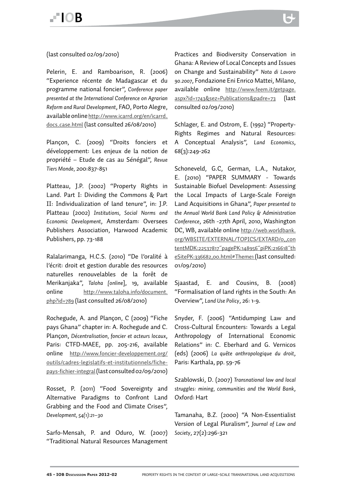(last consulted 02/09/2010)

Pelerin, E. and Ramboarison, R. (2006) "Experience récente de Madagascar et du programme national foncier", *Conference paper presented at the International Conference on Agrarian Reform and Rural Development*, FAO, Porto Alegre, available online http://www.icarrd.org/en/icarrd\_ docs\_case.html (last consulted 26/08/2010)

Plançon, C. (2009) "Droits fonciers et développement: Les enjeux de la notion de propriété – Etude de cas au Sénégal", *Revue Tiers Monde,* 200:837-851

Platteau, J.P. (2002) "Property Rights in Land. Part I: Dividing the Commons & Part II: Individualization of land tenure", in: J.P. Platteau (2002) *Institutions, Social Norms and Economic Development*, Amsterdam: Oversees Publishers Association, Harwood Academic Publishers, pp. 73-188

Ralalarimanga, H.C.S. (2010) "De l'oralité à l'écrit: droit et gestion durable des resources naturelles renouvelables de la forêt de Merikanjaka", *Taloha [online*], 19, available online http://www.taloha.info/document. php?id=789 (last consulted 26/08/2010)

Rochegude, A. and Plançon, C (2009) "Fiche pays Ghana" chapter in: A. Rochegude and C. Plançon, *Décentralisation, foncier et acteurs locaux*, Paris: CTFD-MAEE, pp. 205-216, available online http://www.foncier-developpement.org/ outils/cadres-legislatifs-et-institutionnels/fichepays-fichier-integral (last consulted 02/09/2010)

Rosset, P. (2011) "Food Sovereignty and Alternative Paradigms to Confront Land Grabbing and the Food and Climate Crises", *Development, 54(1):21–30*

Sarfo-Mensah, P. and Oduro, W. (2007) "Traditional Natural Resources Management

Practices and Biodiversity Conservation in Ghana: A Review of Local Concepts and Issues on Change and Sustainability" *Nota di Lavoro 90.2007*, Fondazione Eni Enrico Mattei, Milano, available online http://www.feem.it/getpage. aspx?id=1743&sez=Publications&padre=73 (last consulted 02/09/2010)

Schlager, E. and Ostrom, E. (1992) "Property-Rights Regimes and Natural Resources: A Conceptual Analysis", *Land Economics*, 68(3):249-262

Schoneveld, G.C, German, L.A., Nutakor, E. (2010) "PAPER SUMMARY - Towards Sustainable Biofuel Development: Assessing the Local Impacts of Large-Scale Foreign Land Acquisitions in Ghana", *Paper presented to the Annual World Bank Land Policy & Administration Conference*, 26th -27th April, 2010, Washington DC, WB, available online http://web.worldbank. org/WBSITE/EXTERNAL/TOPICS/EXTARD/0,,con tentMDK:22537817~pagePK:148956~piPK:216618~th eSitePK:336682,00.html#Theme1 (last consulted: 01/09/2010)

Sjaastad, E. and Cousins, B. (2008) "Formalisation of land rights in the South: An Overview", *Land Use Policy*, 26: 1-9.

Snyder, F. (2006) "Antidumping Law and Cross-Cultural Encounters: Towards a Legal Anthropology of International Economic Relations" in: C. Eberhard and G. Vernicos (eds) (2006) *La quête anthropologique du droit*, Paris: Karthala, pp. 59-76

Szablowski, D. (2007) *Transnational law and local struggles: mining, communities and the World Bank*, Oxford: Hart

Tamanaha, B.Z. (2000) "A Non-Essentialist Version of Legal Pluralism", *Journal of Law and Society*, 27(2):296-321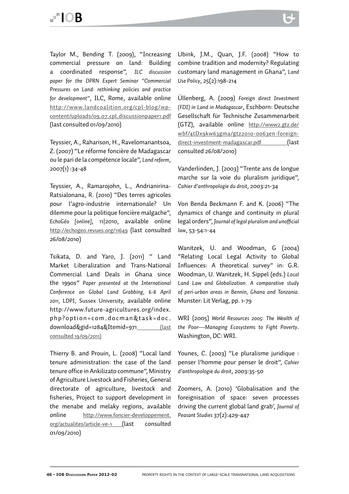Taylor M., Bending T. (2009), "Increasing commercial pressure on land: Building a coordinated response", *ILC discussion paper for the DPRN Expert Seminar "Commercial Pressures on Land: rethinking policies and practice for development"*, ILC, Rome, available online http://www.landcoalition.org/cpl-blog/wpcontent/uploads/09\_07\_cpl\_discussionpaper1.pdf (last consulted 01/09/2010)

Teyssier, A., Raharison, H., Ravelomanantsoa, Z. (2007) "Le réforme foncière de Madagascar ou le pari de la compétence locale", *Land reform*, 2007(1) :34-48

Teyssier, A., Ramarojohn, L., Andrianirina-Ratsialonana, R. (2010) "Des terres agricoles pour l'agro-industrie internationale? Un dilemme pour la politique foncière malgache", *EchoGéo [online]*, 11|2010, available online http://echogeo.revues.org/11649 (last consulted 26/08/2010)

Tsikata, D. and Yaro, J. (2011) " Land Market Liberalization and Trans-National Commercial Land Deals in Ghana since the 1990s" *Paper presented at the International Conference on Global Land Grabbing, 6-8 April 2011,* LDPI, Sussex University, available online http://www.future-agricultures.org/index. php?option=com\_docman&task=doc\_ download&gid=1284&Itemid=971 (last consulted 19/09/2011)

Thierry B. and Prouin, L. (2008) "Local land tenure administration: the case of the land tenure office in Ankilizato commune", Ministry of Agriculture Livestock and Fisheries, General directorate of agriculture, livestock and fisheries, Project to support development in the menabe and melaky regions, available online http://www.foncier-developpement. org/actualites/article-ve-1 (last consulted 01/09/2010)

Ubink, J.M., Quan, J.F. (2008) "How to combine tradition and modernity? Regulating customary land management in Ghana", *Land Use Policy*, 25(2):198-214

Üllenberg, A. (2009) *Foreign direct Investment (FDI) in Land in Madagascar*, Eschborn: Deutsche Gesellschaft für Technische Zusammenarbeit (GTZ), available online http://www2.gtz.de/ wbf/4tDx9kw63gma/gtz2010-0063en-foreigndirect-investment-madagascar.pdf (last consulted 26/08/2010)

Vanderlinden, J. (2003) "Trente ans de longue marche sur la voie du pluralism juridique", *Cahier d'anthropologie du droit*, 2003:21-34

Von Benda Beckmann F. and K. (2006) "The dynamics of change and continuity in plural legal orders", *Journal of legal pluralism and unofficial law*, 53-54:1-44

Wanitzek, U. and Woodman, G (2004) "Relating Local Legal Activity to Global Influences: A theoretical survey" in: G.R. Woodman, U. Wanitzek, H. Sippel (eds.) *Local Land Law and Globalization. A comparative study of peri-urban areas in Bennin, Ghana and Tanzania.* Munster: Lit Verlag, pp. 1-79

WRI (2005) *World Resources 2005: The Wealth of the Poor—Managing Ecosystems to Fight Poverty*. Washington, DC: WRI.

Younes, C. (2003) "Le pluralisme juridique : penser l'homme pour penser le droit", *Cahier d'anthropologie du droit*, 2003:35-50

Zoomers, A. (2010) 'Globalisation and the foreignisation of space: seven processes driving the current global land grab', *Journal of Peasant Studies* 37(2):429-447